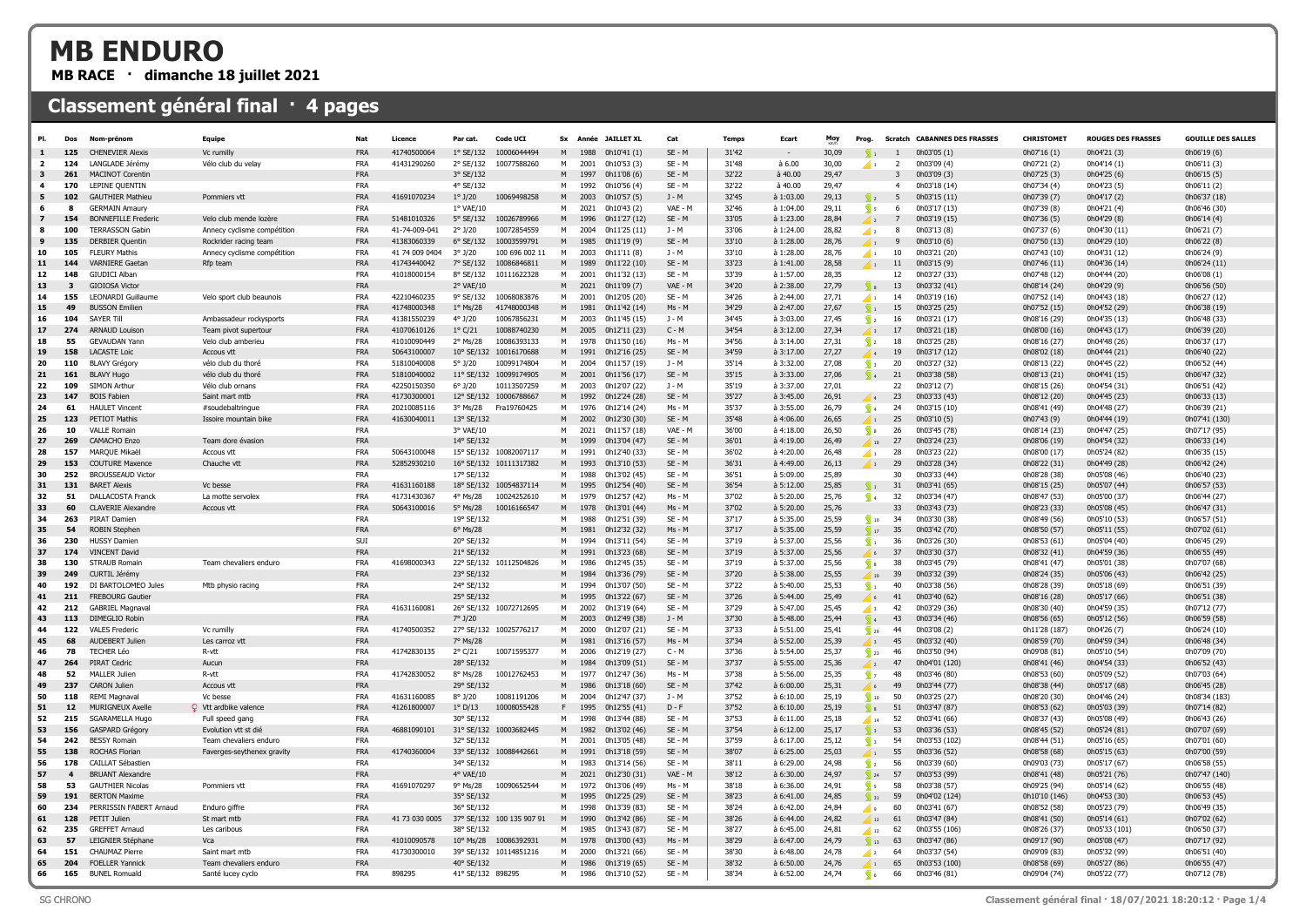## MB ENDURO

MB RACE · dimanche 18 juillet 2021

## Classement général final · 4 pages

|                          | Dos             | Nom-prénon                                      | Equipe                                   | Nat                      | Licence                    | Par cat.                  | Code UCI                   | <b>Sx</b> |              | Année JAILLET XL             | Cat                  | Temps          | Ecart                          | Moy            | Prog.                          |                | <b>Scratch CABANNES DES FRASSES</b> | <b>CHRISTOMET</b>             | <b>ROUGES DES FRASSES</b>    | <b>GOUILLE DES SALLES</b>    |
|--------------------------|-----------------|-------------------------------------------------|------------------------------------------|--------------------------|----------------------------|---------------------------|----------------------------|-----------|--------------|------------------------------|----------------------|----------------|--------------------------------|----------------|--------------------------------|----------------|-------------------------------------|-------------------------------|------------------------------|------------------------------|
|                          | 125             | <b>CHENEVIER Alexis</b>                         | Vc rumilly                               | FRA                      | 41740500064                | $1°$ SE/132               | 10006044494                | M         | 1988         | 0h10'41(1)                   | $SE - M$             | 31'42          |                                | 30,09          | $\mathbb{Q}_1$                 |                | 0h03'05 (1)                         | 0h07'16 (1)                   | 0h04'21 (3)                  | 0h06'19 (6)                  |
| $\overline{\phantom{a}}$ | 124             | LANGLADE 1érémy                                 | Vélo club du velay                       | <b>FRA</b>               | 41431290260                | 2° SE/132                 | 10077588260                | м         | 2001         | 0h10'53 (3)                  | $SE - M$             | 31'48          | à 6.00                         | 30.00          | $\sqrt{1}$                     | $\overline{2}$ | 0h03'09 (4)                         | 0h07'21 (2)                   | 0h04'14(1)                   | 0h06'11 (3)                  |
|                          | 26 <sub>2</sub> | <b>MACINOT Corentin</b>                         |                                          | <b>FRA</b>               |                            | 3° SE/132                 |                            | M         | 1997         | 0h11'08(6)                   | SE - M               | 32'22          | à 40.00                        | 29,47          |                                |                | 0h03'09 (3)                         | 0h07'25 (3)                   | 0h04'25 (6)                  | 0h06'15 (5)                  |
|                          | 170             | LEPINE OUENTIN                                  |                                          | <b>FRA</b>               |                            | 4° SE/132                 |                            | м         | 1992         | 0h10'56 (4)                  | $SE - M$             | 32'22          | à 40.00                        | 29.47          |                                | $\overline{4}$ | 0h03'18 (14)                        | 0h07'34 (4)                   | 0h04'23 (5)                  | 0h06'11 (2)                  |
| 5.                       | 102             | <b>GAUTHIER Mathieu</b>                         | Pommiers vtt                             | <b>FRA</b>               | 41691070234                | $1^{\circ}$ J/20          | 10069498258                | M         | 2003         | 0h10'57 (5)                  | $J - M$              | 32'45          | à 1:03.00                      | 29.13          | $\sqrt{2}$                     | - 5            | 0h03'15 (11)                        | 0h07'39 (7)                   | 0h04'17 (2)                  | 0h06'37 (18)                 |
|                          | 8               | <b>GERMAIN Amaury</b>                           |                                          | <b>FRA</b>               |                            | 1° VAE/10                 |                            | м         | 2021         | 0h10'43 (2)                  | VAE - M              | 32'46          | à 1:04.00                      | 29,11          | $\mathbb{R}$                   | 6              | 0h03'17 (13)                        | 0h07'39 (8)                   | 0h04'21 (4)                  | 0h06'46 (30)                 |
|                          | 154             | <b>BONNEFILLE Frederic</b>                      | Velo club mende lozère                   | <b>FRA</b>               | 51481010326                | 5° SE/132                 | 10026789966                | M         | 1996         | 0h11'27 (12)                 | $SE - M$             | 33'05          | à 1:23.00                      | 28,84          |                                |                | 0h03'19 (15)                        | 0h07'36 (5)                   | 0h04'29 (8)                  | 0h06'14 (4)                  |
|                          | 100             | <b>TERRASSON Gabir</b>                          | Annecy cyclisme compétition              | <b>FRA</b>               | 41-74-009-041              | $2°$ J/20                 | 10072854559                | M         | 2004         | 0h11'25 (11)                 | $J - M$              | 33'06          | à 1:24.00                      | 28,82          | $\sqrt{2}$                     | 8              | 0h03'13 (8)                         | 0h07'37 (6)                   | 0h04'30 (11)                 | 0h06'21 (7)                  |
| 9                        | 135             | <b>DERBIER Ouentin</b>                          | Rockrider racing team                    | <b>FRA</b>               | 41383060339                | 6° SE/132                 | 10003599791                | M         | 1985         | 0h11'19(9)                   | $SE - M$             | 33'10          | à 1:28.00                      | 28.76          | $\left\langle \right\rangle$ 1 | $\mathbf{q}$   | 0h03'10 (6)                         | 0h07'50 (13)                  | 0h04'29 (10)                 | 0h06'22 (8)                  |
| 10                       | 105             | <b>FLEURY Mathis</b>                            | Annecy cyclisme compétition              | <b>FRA</b>               | 41 74 009 0404             | $3°$ J/20                 | 100 696 002 11             | M         | 2003         | 0h11'11 (8)                  | $J - M$              | 33'10          | à 1:28.00                      | 28,76          | $\sqrt{1}$                     | 10             | 0h03'21 (20)                        | 0h07'43 (10)                  | 0h04'31 (12)                 | 0h06'24 (9)                  |
| 11                       | 144             | <b>VARNIERE Gaetar</b>                          | Rfp team                                 | FRA                      | 41743440042                | 7° SF/132                 | 10086846811                |           | 1989         | 0h11'22 (10)                 | SE - M               | 33'23          | à 1:41.00                      | 28,58          | 4                              | 11             | 0h03'15 (9)                         | 0h07'46 (11)                  | 0h04'36 (14)                 | 0h06'24 (11)                 |
| 12                       | 148             | GILIDICI Alban                                  |                                          | <b>FRA</b>               | 41018000154                | 8° SF/132                 | 10111622328                | м         | 2001         | 0h11'32 (13)                 | $SE - M$             | 33'39          | $\lambda$ 1.57 00              | 28.35          |                                | 12             | 0h03'27 (33)                        | 0h07'48 (12)                  | 0h04'44 (20)                 | 0h06'08 (1)                  |
| 13                       |                 | <b>GIOIOSA Victor</b>                           |                                          | <b>FRA</b>               |                            | 2° VAE/10                 |                            | M         | 2021         | 0h11'09 (7)                  | VAE - M              | 34'20          | à 2:38.00                      | 27,79          |                                | 13             | 0h03'32 (41)                        | 0h08'14 (24)                  | 0h04'29 (9)                  | 0h06'56 (50)                 |
| 14                       | 155             | <b>LEONARDI Guillaume</b>                       | Velo sport club beaunois                 | <b>FRA</b>               | 42210460235                | 9° SE/132                 | 10068083876                | м         | 2001         | 0h12'05 (20)                 | $SE - M$             | 34'26          | à 2:44.00                      | 27.71          | $\blacksquare$                 | 14             | 0h03'19 (16)                        | 0h07'52 (14)                  | 0h04'43 (18)                 | 0h06'27 (12)                 |
| 15<br>16                 | 49<br>104       | <b>BUSSON Emilier</b><br><b>SAYER Til</b>       |                                          | FRA<br><b>FRA</b>        | 41748000348                | $1^\circ$ Ms/28<br>4°1/20 | 41748000348                | M<br>м    | 1981<br>2003 | 0h11'42 (14)                 | Ms - M<br>$1 - M$    | 34'29<br>34'45 | à 2:47.00                      | 27,67          | $\sqrt{1}$                     | 15             | 0h03'25 (25)                        | 0h07'52 (15)                  | 0h04'52 (29)                 | 0h06'38 (19)                 |
|                          |                 |                                                 | Ambassadeur rockysports                  |                          | 41381550239                |                           | 10067856231                |           |              | 0h11'45 (15)                 |                      |                | à 3:03.00                      | 27,45          | $\sqrt{2}$                     | 16             | 0h03'21 (17)                        | 0h08'16 (29)                  | 0h04'35 (13)                 | 0h06'48 (33)                 |
| 17<br>18                 | 274<br>55       | <b>ARNAUD Louisor</b><br><b>GEVAUDAN Yann</b>   | Team pivot supertour                     | <b>FRA</b><br><b>FRA</b> | 41070610126<br>41010090449 | $1°$ C/21<br>2° Ms/28     | 10088740230                | M<br>М    | 2005<br>1978 | 0h12'11 (23)                 | $C - M$<br>$Ms - M$  | 34'54<br>34'56 | à 3:12.00<br>$\lambda$ 3:14.00 | 27,34          |                                | 17             | 0h03'21 (18)                        | 0h08'00 (16)                  | 0h04'43 (17)                 | 0h06'39 (20)                 |
| 19                       | 158             | LACASTE Loic                                    | Velo club amberieu                       | <b>FRA</b>               | 50643100007                | 10° SE/132                | 10086393133<br>10016170688 | M         | 1991         | 0h11'50 (16)                 | SE - M               | 34'59          | à 3:17.00                      | 27,31<br>27,27 | $\sqrt{2}$                     | 18             | 0h03'25 (28)                        | 0h08'16 (27)                  | 0h04'48 (26)                 | 0h06'37 (17)                 |
| 20                       | 110             | <b>BLAVY Grégory</b>                            | Accous vtt<br>vélo club du thoré         | <b>FRA</b>               | 51810040008                | $5°$ J/20                 | 10099174804                | М         | 2004         | 0h12'16 (25)<br>0h11'57 (19) | $J - M$              | 35'14          | à 3:32.00                      | 27,08          | $\sqrt{3}$                     | 19<br>20       | 0h03'17 (12)<br>0h03'27 (32)        | 0h08'02 (18)<br>0h08'13 (22)  | 0h04'44 (21)<br>0h04'45 (22) | 0h06'40 (22)<br>0h06'52 (44) |
| 21                       | 161             | <b>BLAVY Hugo</b>                               | vélo club du thoré                       | FRA                      | 51810040002                | 11° SE/132                | 10099174905                | M         | 2001         | 0h11'56 (17)                 | $SE - M$             | 35'15          | à 3:33.00                      | 27.06          | $\overline{\mathbb{Z}}$ 4      | 21             | 0h03'38 (58)                        | 0h08'13 (21)                  | 0h04'41 (15)                 | 0h06'47 (32)                 |
| 22                       | 109             | SIMON Arthur                                    | Vélo club ornans                         | <b>FRA</b>               | 42250150350                | $6°$ J/20                 | 10113507259                | M         | 2003         | 0h12'07 (22)                 | $J - M$              | 35'19          | à 3:37.00                      | 27,01          |                                | 22             | 0h03'12 (7)                         | 0h08'15 (26)                  | 0h04'54 (31)                 | 0h06'51 (42)                 |
| 23                       | 14              | <b>BOIS Fabien</b>                              | Saint mart mtb                           | <b>FRA</b>               | 41730300001                | 12° SE/132                | 10006788667                | M         | 1992         | 0h12'24 (28)                 | SE - M               | 35'27          | à 3:45.00                      | 26,91          | $\overline{4}$                 | 23             | 0h03'33 (43)                        | 0h08'12 (20)                  | 0h04'45 (23)                 | 0h06'33 (13)                 |
| 24                       | 61              | <b>HAULET Vincent</b>                           | #soudebaltringue                         | <b>FRA</b>               | 20210085116                | 3° Ms/28                  | Fra19760425                | M         | 1976         | 0h12'14 (24)                 | Ms - M               | 35'37          | à 3:55.00                      | 26,79          | $\frac{1}{2}$ 4                | 24             | 0h03'15 (10)                        | 0h08'41 (49)                  | 0h04'48 (27)                 | 0h06'39 (21)                 |
| 25                       | 123             | PETIOT Mathis                                   | Issoire mountain bike                    | FRA                      | 41630040011                | 13° SE/132                |                            | M         | 2002         | 0h12'30 (30)                 | SE - M               | 35'48          | à 4:06.00                      | 26,65          | $\sqrt{1}$                     | 25             | 0h03'10 (5)                         | 0h07'43 (9)                   | 0h04'44 (19)                 | 0h07'41 (130                 |
| 26                       | 10              | <b>VALLE Romain</b>                             |                                          | <b>FRA</b>               |                            | 3° VAE/10                 |                            | м         | 2021         | 0h11'57 (18)                 | VAE - M              | 36'00          | à 4:18.00                      | 26.50          | $\sqrt{8}$                     | 26             | 0h03'45 (78)                        | 0h08'14 (23)                  | 0h04'47 (25)                 | 0h07'17 (95)                 |
| 27                       | 269             | CAMACHO Enzo                                    | Team dore évasion                        | FRA                      |                            | 14° SE/132                |                            | M         | 1999         | 0h13'04 (47)                 | $SE - M$             | 36'01          | à 4:19.00                      | 26,49          | 10                             | 27             | 0h03'24 (23)                        | 0h08'06 (19)                  | 0h04'54 (32)                 | 0h06'33 (14)                 |
| 28                       | 157             | MARQUE Mikaël                                   | Accous vtt                               | FRA                      | 50643100048                | 15° SE/132                | 10082007117                | М         | 1991         | 0h12'40 (33)                 | $SE - M$             | 36'02          | à 4:20.00                      | 26.48          | $\sqrt{1}$                     | 28             | 0h03'23 (22)                        | 0h08'00 (17)                  | 0h05'24 (82)                 | 0h06'35 (15)                 |
| 29                       | 153             | <b>COUTURE Maxence</b>                          | Chauche vtf                              | <b>FRA</b>               | 52852930210                |                           | 16° SE/132 10111317382     | M         | 1993         | 0h13'10 (53)                 | $SE - M$             | 36'31          | à 4:49.00                      | 26,13          | ″ 3                            | 29             | 0h03'28 (34)                        | 0h08'22 (31)                  | 0h04'49 (28)                 | 0h06'42 (24)                 |
| 30                       | 252             | <b>BROUSSEAUD Victor</b>                        |                                          | <b>FRA</b>               |                            | 17° SE/132                |                            | М         | 1988         | 0h13'02 (45)                 | $SE - M$             | 36'51          | $\lambda$ 5:09.00              | 25.89          |                                | 30             | 0h03'33 (44)                        | 0h08'28 (38)                  | 0h05'08 (46)                 | 0h06'40 (23)                 |
| 31                       | 131             | <b>BARFT Alexis</b>                             | Vc besse                                 | <b>FRA</b>               | 41631160188                | 18° SE/132                | 10054837114                | M         | 1995         | 0h12'54 (40)                 | $SE - M$             | 36'54          | à 5:12.00                      | 25,85          | $\sum_{i=1}^{n}$               | 31             | 0h03'41 (65)                        | 0h08'15 (25)                  | 0h05'07 (44)                 | 0h06'57 (53)                 |
| 32                       | 51              | <b>DALLACOSTA Franck</b>                        | La motte servole>                        | <b>FRA</b>               | 41731430367                | 4° Ms/28                  | 10024252610                | M         | 1979         | 0h12'57 (42)                 | Ms - M               | 37'02          | à 5:20.00                      | 25,76          | ۶.                             | 32             | 0h03'34 (47)                        | 0h08'47 (53)                  | 0h05'00 (37                  | 0h06'44 (27)                 |
| 33                       | 60              | <b>CLAVERIE Alexandre</b>                       | <b>Accous ytt</b>                        | <b>FRA</b>               | 50643100016                | 5° Ms/28                  | 10016166547                | M         | 1978         | 0h13'01 (44)                 | $Ms - M$             | 37'02          | à 5:20.00                      | 25.76          |                                | 33             | 0h03'43 (73)                        | 0h08'23 (33)                  | 0h05'08 (45)                 | 0h06'47 (31)                 |
| 34                       | 263             | <b>PIRAT Damier</b>                             |                                          | <b>FRA</b>               |                            | 19° SE/132                |                            | м         | 1988         | 0h12'51 (39)                 | SE - M               | 37'17          | à 5:35.00                      | 25,59          | $\frac{1}{2}$ 10               | 34             | 0h03'30 (38)                        | 0h08'49 (56)                  | 0h05'10 (53)                 | 0h06'57 (51)                 |
| 35                       | 54              | <b>ROBIN Stephen</b>                            |                                          | FRA                      |                            | 6° Ms/28                  |                            | M         | 1981         | 0h12'32 (32)                 | Ms - M               | 37'17          | à 5:35.00                      | 25,59          | $\sqrt{17}$                    | 35             | 0h03'42 (70)                        | 0h08'50 (57)                  | 0h05'11 (55)                 | 0h07'02 (61)                 |
| 36                       | 230             | <b>HUSSY Damien</b>                             |                                          | SUI                      |                            | 20° SF/132                |                            | М         | 1994         | 0h13'11 (54)                 | $SE - M$             | 37'19          | à 5:37.00                      | 25,56          | $\overline{\phantom{a}}$ 1     | 36             | 0h03'26 (30)                        | 0h08'53 (61)                  | 0h05'04 (40)                 | 0h06'45 (29)                 |
| 37                       |                 | <b>VINCENT David</b>                            |                                          | FRA                      |                            | 21° SE/132                |                            | M         | 1991         | 0h13'23 (68)                 | $SE - M$             | 37'19          | à 5:37.00                      | 25,56          | 6 <sup>1</sup>                 | 37             | 0h03'30 (37)                        | 0h08'32 (41)                  | 0h04'59 (36)                 | 0h06'55 (49)                 |
| 38                       | 130             | <b>STRAUB Romain</b>                            | Team chevaliers enduro                   | <b>FRA</b>               | 41698000343                | 22° SE/132                | 10112504826                | M         | 1986         | 0h12'45 (35)                 | SE - M               | 37'19          | à 5:37.00                      | 25,56          | $\sqrt{8}$                     | 38             | 0h03'45 (79)                        | 0h08'41 (47)                  | 0h05'01 (38)                 | 0h07'07 (68)                 |
| 39                       | 249             | CURTIL Jérémy                                   |                                          | <b>FRA</b>               |                            | 23° SE/132                |                            | M         | 1984         | 0h13'36 (79)                 | $SE - M$             | 37'20          | à 5:38.00                      | 25,55          | 10                             | 39             | 0h03'32 (39)                        | 0h08'24 (35)                  | 0h05'06 (43)                 | 0h06'42 (25)                 |
| 40                       | 192             | DI BARTOLOMEO Jules                             | Mtb physio racing                        | <b>FRA</b>               |                            | 24° SE/132                |                            | м         | 1994         | 0h13'07 (50)                 | SE - M               | 37'22          | à 5:40.00                      | 25,53          | $\sqrt{1}$                     | 40             | 0h03'38 (56)                        | 0h08'28 (39)                  | 0h05'18 (69)                 | 0h06'51 (39)                 |
| 41                       | 211             | <b>FREBOURG Gautier</b>                         |                                          | FRA                      |                            | 25° SE/132                |                            | M         | 1995         | 0h13'22 (67)                 | $SE - M$             | 37'26          | à 5:44.00                      | 25,49          |                                | 41             | 0h03'40 (62)                        | 0h08'16 (28)                  | 0h05'17 (66)                 | 0h06'51 (38)                 |
| 42<br>43                 | 212             | <b>GABRIEL Magnaval</b>                         |                                          | <b>FRA</b><br>FRA        | 41631160081                | 7°1/20                    | 26° SE/132 10072712695     | м<br>M    | 2002         | 0h13'19 (64)                 | SE - M               | 37'29          | à 5:47.00<br>$\lambda$ 5:48.00 | 25.45          | <b>⊿</b> 3.                    | 42             | 0h03'29 (36)                        | 0h08'30 (40)                  | 0h04'59 (35)                 | 0h07'12 (77)                 |
| 44                       | 113<br>122      | DIMEGLIO Robin<br><b>VALES Frederic</b>         | Vc rumilly                               | FRA                      | 41740500352                |                           | 27° SE/132 10025776217     | M         | 2003<br>2000 | 0h12'49 (38)<br>0h12'07 (21) | $J - M$<br>SE - M    | 37'30<br>37'33 | à 5:51.00                      | 25,44<br>25,41 | $\sqrt{4}$<br>$\frac{1}{2}$    | 43<br>44       | 0h03'34 (46)<br>0h03'08 (2)         | 0h08'56 (65)<br>0h11'28 (187) | 0h05'12 (56)<br>0h04'26 (7)  | 0h06'59 (58)<br>0h06'24 (10) |
| 45                       | 68              | AUDEBERT Julien                                 | Les carroz vtt                           | <b>FRA</b>               |                            | 7° Ms/28                  |                            | M         | 1981         | 0h13'16 (57)                 | Ms - M               | 37'34          | à 5:52.00                      | 25,39          | 13                             | 45             | 0h03'32 (40)                        | 0h08'59 (70)                  | 0h04'59 (34)                 | 0h06'48 (34)                 |
| 46                       | 78              | <b>TECHER Léo</b>                               | R-vtt                                    | <b>FRA</b>               | 41742830135                | $2^{\circ}$ C/21          | 10071595377                | M         | 2006         | 0h12'19 (27)                 | $C - M$              | 37'36          | à 5:54.00                      | 25,37          | $\frac{1}{23}$                 | 46             | 0h03'50 (94)                        | 0h09'08 (81)                  | 0h05'10 (54)                 | 0h07'09 (70)                 |
| 47                       | 264             | PIRAT Cedric                                    | Aucur                                    | <b>FRA</b>               |                            | 28° SE/132                |                            | M         | 1984         | 0h13'09 (51)                 | $SE - M$             | 37'37          | à 5:55.00                      | 25,36          | $\overline{\phantom{a}}$       | 47             | 0h04'01 (120                        | 0h08'41 (46)                  | 0h04'54 (33)                 | 0h06'52 (43)                 |
| 48                       | 52              | MALLER Julier                                   | R-vtt                                    | FRA                      | 41742830052                | 8° Ms/28                  | 10012762453                | M         | 1977         | 0h12'47 (36)                 | $Ms - M$             | 37'38          | à 5:56.00                      | 25,35          | $\sqrt{7}$                     | 48             | 0h03'46 (80)                        | 0h08'53 (60)                  | 0h05'09 (52)                 | 0h07'03 (64)                 |
| 49                       | 237             | <b>CARON Julien</b>                             | Accous vtt                               | <b>FRA</b>               |                            | 29° SE/132                |                            | M         | 1986         | 0h13'18 (60)                 | SE - M               | 37'42          | à 6:00.00                      | 25,31          | ا ه                            | 49             | 0h03'44 (77)                        | 0h08'38 (44)                  | 0h05'17 (68)                 | 0h06'45 (28)                 |
| 50                       | 118             | <b>REMI Magnaval</b>                            | Vc besse                                 | <b>FRA</b>               | 41631160085                | $8^{\circ}$ $1/20$        | 10081191206                | м         | 2004         | 0h12'47 (37)                 | $1 - M$              | 37'52          | à 6:10.00                      | 25,19          | $\sqrt{10}$                    | 50             | 0h03'25 (27)                        | 0h08'20 (30)                  | 0h04'46 (24)                 | 0h08'34 (183)                |
| 51                       | 12              | <b>MURIGNEUX Axelle</b>                         | Vtt ardbike valence                      | FRA                      | 41261800007                | $1^{\circ}$ D/13          | 10008055428                | F         | 1995         | 0h12'55 (41)                 | $D - F$              | 37'52          | à 6:10.00                      | 25,19          |                                | 51             | 0h03'47 (87)                        | 0h08'53 (62)                  | 0h05'03 (39)                 | 0h07'14 (82)                 |
| 52                       | 215             | SGARAMELLA Hugo                                 | Full speed gang                          | <b>FRA</b>               |                            | 30° SE/132                |                            | м         | 1998         | 0h13'44 (88)                 | SE - M               | 37'53          | à 6:11.00                      | 25.18          | $\frac{14}{14}$                | 52             | 0h03'41 (66)                        | 0h08'37 (43)                  | 0h05'08 (49)                 | 0h06'43 (26)                 |
| 53                       | 156             | <b>GASPARD Grégory</b>                          | Evolution ytt st dié                     | <b>FRA</b>               | 46881090101                |                           | 31° SE/132 10003682445     | M         | 1982         | 0h13'02 (46)                 | $SE - M$             | 37'54          | $\lambda$ 6:12.00              | 25,17          | $\sqrt{3}$                     | 53             | 0h03'36 (53)                        | 0h08'45 (52)                  | 0h05'24 (81)                 | 0h07'07 (69)                 |
| 54                       | 242             | <b>BESSY Romain</b>                             | Team chevaliers enduro                   | <b>FRA</b>               |                            | 32° SE/132                |                            | м         | 2001         | 0h13'05 (48)                 | SE - M               | 37'59          | à 6:17.00                      | 25,12          | $\sqrt{3}$                     | 54             | 0h03'53 (102)                       | 0h08'44 (51)                  | 0h05'16 (65)                 | 0h07'01 (60)                 |
| 55                       | 138             | ROCHAS Florian                                  | Faverges-seythenex gravity               | FRA                      | 41740360004                | 33° SE/132                | 10088442661                | M         | 1991         | 0h13'18 (59)                 | $SE - M$             | 38'07          | à 6:25.00                      | 25,03          | $\left\  \right\ _1$           | 55             | 0h03'36 (52)                        | 0h08'58 (68)                  | 0h05'15 (63)                 | 0h07'00 (59)                 |
| 56                       | 178             | CAILLAT Sébastier                               |                                          | <b>FRA</b>               |                            | 34° SE/132                |                            | М         | 1983         | 0h13'14 (56)                 | SE - M               | 38'11          | à 6:29.00                      | 24,98          | $\frac{1}{2}$                  | 56             | 0h03'39 (60)                        | 0h09'03 (73)                  | 0h05'17 (67)                 | 0h06'58 (55)                 |
| 57                       |                 | <b>BRUANT Alexandre</b>                         |                                          | FRA                      |                            | 4° VAE/10                 |                            | M         | 2021         | 0h12'30 (31)                 | VAE - M              | 38'12          | à 6:30.00                      | 24,97          | $\frac{1}{24}$                 | 57             | 0h03'53 (99)                        | 0h08'41 (48)                  | 0h05'21 (76)                 | 0h07'47 (140)                |
| 58                       | 53              | <b>GAUTHIER Nicolas</b>                         | Pommiers vtt                             | <b>FRA</b>               | 41691070297                | 9° Ms/28                  | 10090652544                | м         | 1972         | 0h13'06 (49)                 | Ms - M               | 38'18          | à 6:36.00                      | 24,91          | $\sqrt{s}$                     | 58             | 0h03'38 (57)                        | 0h09'25 (94)                  | 0h05'14 (62)                 | 0h06'55 (48)                 |
| 59                       | 191             | <b>BERTON Maxime</b>                            |                                          | <b>FRA</b>               |                            | 35° SE/132                |                            |           | 1995         | 0h12'25 (29)                 | SE - M               | 38'23          | à 6:41.00                      | 24,85          | $\frac{1}{2}$ 31               | 59             | 0h04'02 (124)                       | 0h10'10 (146)                 | 0h04'53 (30)                 | 0h06'53 (45)                 |
| 60                       | 234             | PERRISSIN FABERT Arnaud                         | Enduro giffre                            | <b>FRA</b>               |                            | 36° SE/132                |                            | м         | 1998         | 0h13'39 (83)                 | $SE - M$             | 38'24          | à 6:42.00                      | 24.84          | ◢∍                             | 60             | 0h03'41 (67)                        | 0h08'52 (58)                  | 0h05'23 (79)                 | 0h06'49 (35)                 |
| 61                       | 128             | PETIT Julien                                    | St mart mtb                              | <b>FRA</b>               | 41 73 030 0005             | 37° SE/132                | 100 135 907 91             | M         | 1990         | 0h13'42 (86)                 | SE - M               | 38'26          | à 6:44.00                      | 24,82          | 12                             | 61             | 0h03'47 (84)                        | 0h08'41 (50)                  | 0h05'14 (61)                 | 0h07'02 (62)                 |
| 62                       | 235             | <b>GREFFET Arnaud</b>                           | Les caribous                             | <b>FRA</b>               |                            | 38° SE/132                |                            | м         | 1985         | 0h13'43 (87)                 | SE - M               | 38'27          | à 6:45.00                      | 24,81          | $\triangle$ 12                 | 62             | 0h03'55 (106)                       | 0h08'26 (37)                  | 0h05'33 (101)                | 0h06'50 (37)                 |
| 63                       | -57             | LEIGNIER Stéphane                               | Vca                                      | <b>FRA</b>               | 41010090578                | $10^{\circ}$ Ms/28        | 1008639293                 | M         | 1978         | 0h13'00 (43)                 | $Ms - M$             | 38'29          | $\lambda$ 6:47.00              | 24,79          | $\frac{1}{2}$ 13               | 63             | 0h03'47 (86)                        | 0h09'17 (90)                  | 0h05'08 (47)                 | 0h07'17 (92)                 |
| 64<br>65                 | 151<br>204      | <b>CHAUMAZ Pierre</b><br><b>FOELLER Yannick</b> | Saint mart mtb<br>Team chevaliers enduro | <b>FRA</b><br>FRA        | 41730300010                | 40° SE/132                | 39° SE/132 10114851216     | M<br>M    | 2000<br>1986 | 0h13'21 (66)<br>0h13'19 (65) | $SE - M$<br>$SE - M$ | 38'30<br>38'32 | à 6:48.00<br>à 6:50.00         | 24.78<br>24.76 | $\sqrt{2}$                     | 64             | 0h03'37 (54)<br>0h03'53 (100)       | 0h09'09 (83)<br>0h08'58 (69)  | 0h05'32 (99)<br>0h05'27 (86) | 0h06'51 (40)<br>0h06'55 (47) |
|                          |                 |                                                 |                                          |                          |                            |                           |                            |           |              |                              |                      |                |                                |                |                                | 65             |                                     |                               |                              |                              |
| 66                       | 165             | <b>BUNEL Romuald</b>                            | Santé lucey cyclo                        | <b>FRA</b>               | 898295                     | 41° SE/132 898295         |                            | м         | 1986         | 0h13'10 (52)                 | SE - M               | 38'34          | à 6:52.00                      | 24.74          | SI 6                           | 66             | 0h03'46 (81)                        | 0h09'04 (74)                  | 0h05'22 (77)                 | 0h07'12 (78)                 |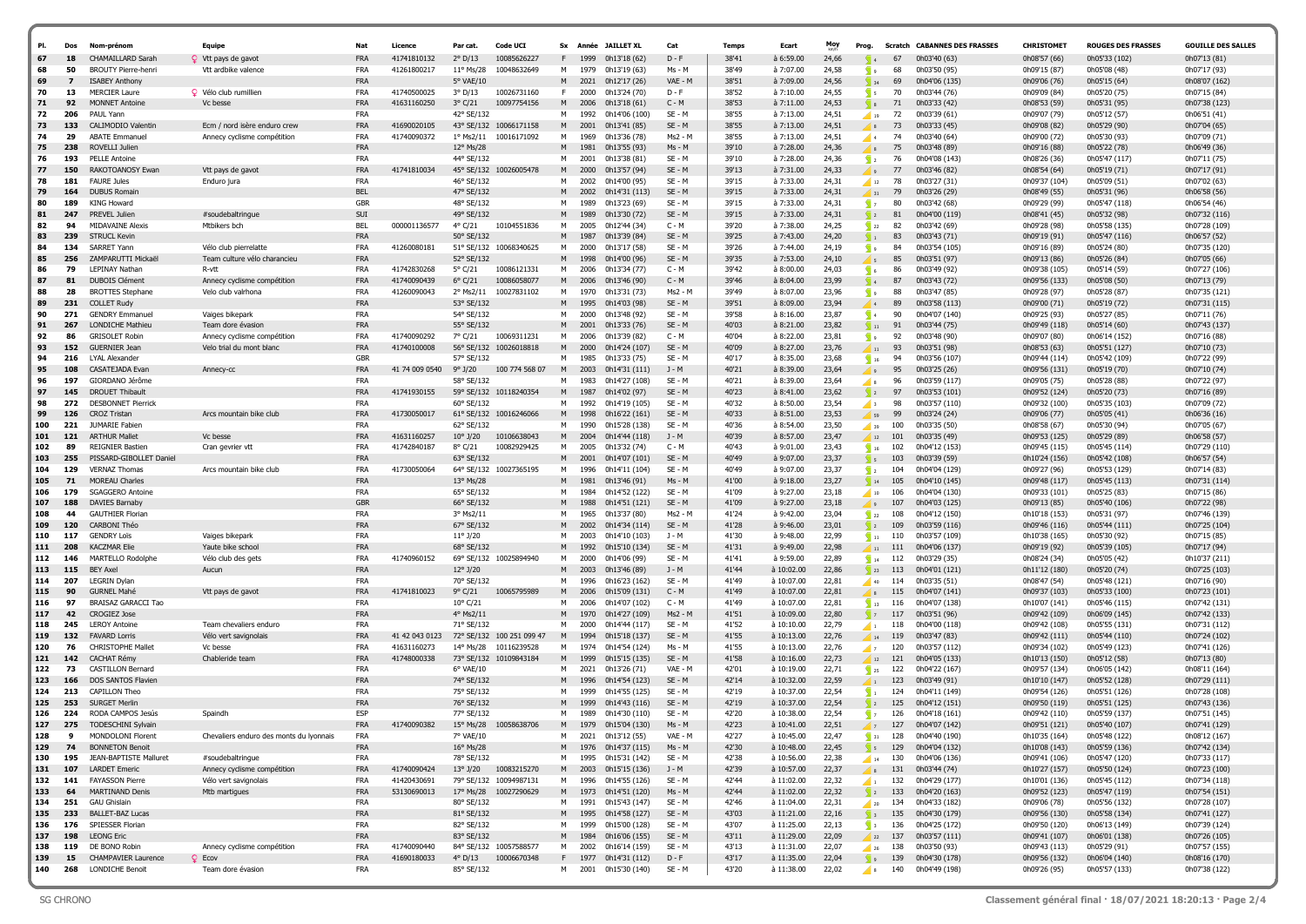| PI.        | Dos        | Nom-prénom                                             | <b>Equipe</b>                                     | Nat                      | Licence                    | Par cat.                        | Code UCI                   |        |              | Sx Année JAILLET XL                          | Cat                 | <b>Temps</b>   | Ecart                    | Moy            | Prog.                             |                    | <b>Scratch CABANNES DES FRASSES</b> | CHRISTOMET                     | <b>ROUGES DES FRASSES</b>      | <b>GOUILLE DES SALLES</b>      |
|------------|------------|--------------------------------------------------------|---------------------------------------------------|--------------------------|----------------------------|---------------------------------|----------------------------|--------|--------------|----------------------------------------------|---------------------|----------------|--------------------------|----------------|-----------------------------------|--------------------|-------------------------------------|--------------------------------|--------------------------------|--------------------------------|
| 67<br>68   | 18<br>50   | <b>CHAMAILLARD Sarah</b><br><b>BROUTY Pierre-henri</b> | $\Omega$ Vtt pays de gavot<br>Vtt ardbike valence | <b>FRA</b><br><b>FRA</b> | 41741810132<br>41261800217 | 2° D/13<br>$11^{\circ}$ Ms/28   | 10085626227<br>10048632649 | м      | 1999<br>1979 | 0h13'18 (62)<br>0h13'19 (63)                 | $D - F$<br>Ms - M   | 38'41<br>38'49 | à 6:59.00<br>à 7:07.00   | 24,66<br>24,58 | <b>S</b>                          | 67<br>68           | 0h03'40 (63)<br>0h03'50 (95)        | 0h08'57 (66)<br>0h09'15 (87)   | 0h05'33 (102)<br>0h05'08 (48)  | 0h07'13 (81)<br>0h07'17 (93)   |
| 69         |            | <b>ISABEY Anthony</b>                                  |                                                   | <b>FRA</b>               |                            | 5° VAE/10                       |                            | M      | 2021         | 0h12'17 (26)                                 | VAE - M             | 38'51          | à 7:09.00                | 24,56          | $\frac{1}{2}$ 34                  | 69                 | 0h04'06 (135)                       | 0h09'06 (76)                   | 0h05'15 (64)                   | 0h08'07 (162)                  |
| 70         | 13         | <b>MERCIER Laure</b>                                   | Q Vélo club rumillien                             | <b>FRA</b>               | 41740500025                | $3^{\circ}$ D/13                | 10026731160                | F.     | 2000         | 0h13'24 (70)                                 | $D - F$             | 38'52          | à 7:10.00                | 24,55          | $\mathbb{S}$ s                    | 70                 | 0h03'44 (76)                        | 0h09'09 (84)                   | 0h05'20 (75)                   | 0h07'15 (84)                   |
| 71         | 92         | <b>MONNET Antoine</b>                                  | Vc besse                                          | <b>FRA</b>               | 41631160250                | $3°$ C/21                       | 10097754156                | M      | 2006         | 0h13'18 (61)                                 | $C - M$             | 38'53          | à 7:11.00                | 24,53          | $\sqrt{8}$                        | 71                 | 0h03'33 (42)                        | 0h08'53 (59)                   | 0h05'31 (95)                   | 0h07'38 (123)                  |
| 72         | 206        | PAUL Yann                                              |                                                   | <b>FRA</b>               |                            | 42° SE/132                      |                            | M      | 1992         | 0h14'06 (100)                                | SE - M              | 38'55          | à 7:13.00                | 24,51          | $\blacksquare$ 19                 | 72                 | 0h03'39 (61)                        | 0h09'07 (79)                   | 0h05'12 (57)                   | 0h06'51 (41)                   |
| 73         | 133        | CALIMODIO Valentin                                     | Ecm / nord isère enduro crew                      | <b>FRA</b>               | 41690020105                |                                 | 43° SE/132 10066171158     | M      | 2001         | 0h13'41 (85)                                 | SE - M              | 38'55          | à 7:13.00                | 24,51          |                                   | 73                 | 0h03'33 (45)                        | 0h09'08 (82)                   | 0h05'29 (90)                   | 0h07'04 (65)                   |
| 74<br>75   | 29<br>238  | <b>ABATE Emmanuel</b><br>ROVELLI Julien                | Annecy cyclisme compétition                       | <b>FRA</b><br><b>FRA</b> | 41740090372                | $1^{\circ}$ Ms2/11<br>12° Ms/28 | 10016171092                | M<br>M | 1969<br>1981 | 0h13'36 (78)                                 | $Ms2 - M$<br>Ms - M | 38'55<br>39'10 | à 7:13.00<br>à 7:28.00   | 24,51<br>24,36 | 4                                 | 74                 | 0h03'40 (64)<br>0h03'48 (89)        | 0h09'00 (72)                   | 0h05'30 (93)                   | 0h07'09 (71)                   |
| 76         | 193        | <b>PELLE Antoine</b>                                   |                                                   | <b>FRA</b>               |                            | 44° SE/132                      |                            | M      | 2001         | 0h13'55 (93)<br>0h13'38 (81)                 | SE - M              | 39'10          | à 7:28.00                | 24,36          | $\sum_{i=1}^{n}$                  | 75<br>76           | 0h04'08 (143)                       | 0h09'16 (88)<br>0h08'26 (36)   | 0h05'22 (78)<br>0h05'47 (117)  | 0h06'49 (36)<br>0h07'11 (75)   |
| 77         | 150        | RAKOTOANOSY Ewan                                       | Vtt pays de gavot                                 | <b>FRA</b>               | 41741810034                | 45° SE/132                      | 10026005478                | M      | 2000         | 0h13'57 (94)                                 | $SE - M$            | 39'13          | à 7:31.00                | 24,33          |                                   | -77                | 0h03'46 (82)                        | 0h08'54 (64)                   | 0h05'19 (71)                   | 0h07'17 (91)                   |
| 78         | 181        | <b>FAURE Jules</b>                                     | Enduro jura                                       | <b>FRA</b>               |                            | 46° SE/132                      |                            | M      | 2002         | 0h14'00 (95)                                 | SE - M              | 39'15          | à 7:33.00                | 24,31          | $\bigcup$ 12                      | 78                 | 0h03'27 (31)                        | 0h09'37 (104)                  | 0h05'09 (51)                   | 0h07'02 (63)                   |
| 79         | 164        | <b>DUBUS Romain</b>                                    |                                                   | <b>BEL</b>               |                            | 47° SE/132                      |                            | M      | 2002         | 0h14'31 (113)                                | $SE - M$            | 39'15          | à 7:33.00                | 24,31          | 31                                | 79                 | 0h03'26 (29)                        | 0h08'49 (55)                   | 0h05'31 (96)                   | 0h06'58 (56)                   |
| 80         | 189        | <b>KING Howard</b>                                     |                                                   | <b>GBR</b>               |                            | 48° SE/132                      |                            | м      | 1989         | 0h13'23 (69)                                 | SE - M              | 39'15          | à 7:33.00                | 24,31          | $\sqrt{2}$                        | 80                 | 0h03'42 (68)                        | 0h09'29 (99)                   | 0h05'47 (118)                  | 0h06'54 (46)                   |
| 81<br>82   | 247<br>94  | PREVEL Julien<br><b>MIDAVAINE Alexis</b>               | #soudebaltringue                                  | SUI<br><b>BEL</b>        | 000001136577               | 49° SE/132                      | 10104551836                | M<br>м | 1989         | 0h13'30 (72)                                 | SE - M<br>$C - M$   | 39'15<br>39'20 | à 7:33.00<br>à 7:38.00   | 24,31<br>24,25 | $\sqrt{2}$                        | 81                 | 0h04'00 (119)                       | 0h08'41 (45)                   | 0h05'32 (98)                   | 0h07'32 (116)                  |
| 83         | 239        | <b>STRUCL Kevin</b>                                    | Mtbikers bch                                      | <b>FRA</b>               |                            | $4^{\circ}$ C/21<br>50° SE/132  |                            | M      | 2005<br>1987 | 0h12'44 (34)<br>0h13'39 (84)                 | $SE - M$            | 39'25          | à 7:43.00                | 24,20          | $\sqrt{22}$<br>$\sqrt{1}$         | 82<br>83           | 0h03'42 (69)<br>0h03'43 (71)        | 0h09'28 (98)<br>0h09'19 (91)   | 0h05'58 (135)<br>0h05'47 (116) | 0h07'28 (109)<br>0h06'57 (52)  |
| 84         | 134        | SARRET Yann                                            | Vélo club pierrelatte                             | FRA                      | 41260080181                |                                 | 51° SE/132 10068340625     | м      | 2000         | 0h13'17 (58)                                 | SE - M              | 39'26          | à 7:44.00                | 24,19          | <b>S</b>                          | 84                 | 0h03'54 (105)                       | 0h09'16 (89)                   | 0h05'24 (80)                   | 0h07'35 (120)                  |
| 85         | 256        | ZAMPARUTTI Mickaël                                     | Team culture vélo charancieu                      | <b>FRA</b>               |                            | 52° SE/132                      |                            | M      | 1998         | 0h14'00 (96)                                 | $SE - M$            | 39'35          | à 7:53.00                | 24,10          | ∕ ऽ                               | 85                 | 0h03'51 (97)                        | 0h09'13 (86)                   | 0h05'26 (84)                   | 0h07'05 (66)                   |
| 86         | 79         | <b>LEPINAY Nathan</b>                                  | R-vtt                                             | <b>FRA</b>               | 41742830268                | 5° C/21                         | 10086121331                | M      | 2006         | 0h13'34 (77)                                 | C - M               | 39'42          | à 8:00.00                | 24,03          | $\overline{\phantom{a}}$ 6        | 86                 | 0h03'49 (92)                        | 0h09'38 (105)                  | 0h05'14 (59)                   | 0h07'27 (106)                  |
| 87         | 81         | <b>DUBOIS Clément</b>                                  | Annecy cyclisme competition                       | <b>FRA</b>               | 41740090439                | $6^{\circ}$ C/21                | 10086058077                | M      | 2006         | 0h13'46 (90)                                 | $C - M$             | 39'46          | à 8:04.00                | 23,99          | $\sqrt{4}$                        | 87                 | 0h03'43 (72)                        | 0h09'56 (133)                  | 0h05'08 (50)                   | 0h07'13 (79)                   |
| 88         | 28         | <b>BROTTES Stephane</b>                                | Velo club valrhona                                | <b>FRA</b><br><b>FRA</b> | 41260090043                | 2° Ms2/11<br>53° SE/132         | 10027831102                | м<br>M | 1970         | 0h13'31 (73)                                 | Ms2 - M<br>SE - M   | 39'49          | à 8:07.00                | 23,96          | و <mark>ک</mark>                  | 88                 | 0h03'47 (85)                        | 0h09'28 (97)                   | 0h05'28 (87)                   | 0h07'35 (121)                  |
| 89<br>90   | 231<br>271 | <b>COLLET Rudy</b><br><b>GENDRY Emmanuel</b>           | Vaiges bikepark                                   | <b>FRA</b>               |                            | 54° SE/132                      |                            | м      | 1995<br>2000 | 0h14'03 (98)<br>0h13'48 (92)                 | SE - M              | 39'51<br>39'58 | $a$ 8:09.00<br>à 8:16.00 | 23,94<br>23,87 | $\sqrt{4}$                        | 89<br>90           | 0h03'58 (113)<br>0h04'07 (140)      | 0h09'00 (71)<br>0h09'25 (93)   | 0h05'19 (72)<br>0h05'27 (85)   | 0h07'31 (115)<br>0h07'11 (76)  |
| 91         | 267        | LONDICHE Mathieu                                       | Team dore évasion                                 | <b>FRA</b>               |                            | 55° SE/132                      |                            | M      | 2001         | 0h13'33 (76)                                 | $SE - M$            | 40'03          | $a$ 8:21.00              | 23,82          | $\sum$ 11                         | 91                 | 0h03'44 (75)                        | 0h09'49 (118)                  | 0h05'14 (60)                   | 0h07'43 (137)                  |
| 92         | 86         | <b>GRISOLET Robin</b>                                  | Annecy cyclisme compétition                       | FRA                      | 41740090292                | 7° C/21                         | 10069311231                | M      | 2006         | 0h13'39 (82)                                 | $C - M$             | 40'04          | à 8:22.00                | 23,81          | e <mark>k</mark>                  | 92                 | 0h03'48 (90)                        | 0h09'07 (80)                   | 0h06'14 (152)                  | 0h07'16 (88)                   |
| 93         | 152        | <b>GUERNIER Jean</b>                                   | Velo trial du mont blanc                          | <b>FRA</b>               | 41740100008                |                                 | 56° SE/132 10026018818     | M      | 2000         | 0h14'24 (107)                                | $SE - M$            | 40'09          | à 8:27.00                | 23,76          | $\blacksquare$ 11                 | 93                 | 0h03'51 (98)                        | 0h08'53 (63)                   | 0h05'51 (127)                  | 0h07'10 (73)                   |
| 94         | 216        | LYAL Alexander                                         |                                                   | <b>GBR</b>               |                            | 57° SE/132                      |                            | M      | 1985         | 0h13'33 (75)                                 | SE - M              | 40'17          | à 8:35.00                | 23,68          | $\frac{1}{2}$ 16                  | 94                 | 0h03'56 (107)                       | 0h09'44 (114)                  | 0h05'42 (109)                  | 0h07'22 (99)                   |
| 95<br>96   | 108<br>197 | CASATEJADA Evan<br>GIORDANO Jérôme                     | Annecy-cc                                         | <b>FRA</b><br><b>FRA</b> | 41 74 009 0540             | $9°$ J/20<br>58° SE/132         | 100 774 568 07             | M<br>M | 2003<br>1983 | 0h14'31 (111)                                | J - M<br>SE - M     | 40'21<br>40'21 | à 8:39.00<br>à 8:39.00   | 23,64<br>23,64 | وا′                               | 95                 | 0h03'25 (26)                        | 0h09'56 (131)                  | 0h05'19 (70)                   | 0h07'10 (74)                   |
| 97         | 145        | <b>DROUET Thibault</b>                                 |                                                   | <b>FRA</b>               | 41741930155                |                                 | 59° SE/132 10118240354     | M      | 1987         | 0h14'27 (108)<br>0h14'02 (97)                | $SE - M$            | 40'23          | à 8:41.00                | 23,62          | ⊿ s<br>$\sqrt{2}$                 | 96<br>97           | 0h03'59 (117)<br>0h03'53 (101)      | 0h09'05 (75)<br>0h09'52 (124)  | 0h05'28 (88)<br>0h05'20 (73)   | 0h07'22 (97)<br>0h07'16 (89)   |
| 98         | 272        | <b>DESBONNET Pierrick</b>                              |                                                   | <b>FRA</b>               |                            | 60° SE/132                      |                            | M      | 1992         | 0h14'19 (105)                                | SE - M              | 40'32          | à 8:50.00                | 23,54          | ⊿। २                              | 98                 | 0h03'57 (110)                       | 0h09'32 (100)                  | 0h05'35 (103)                  | 0h07'09 (72)                   |
| 99         | 126        | <b>CROZ Tristan</b>                                    | Arcs mountain bike club                           | <b>FRA</b>               | 41730050017                |                                 | 61° SE/132 10016246066     | M      | 1998         | 0h16'22 (161)                                | SE - M              | 40'33          | à 8:51.00                | 23,53          | 59                                | 99                 | 0h03'24 (24)                        | 0h09'06 (77)                   | 0h05'05 (41)                   | 0h06'36 (16)                   |
| 100        | 221        | JUMARIE Fabien                                         |                                                   | <b>FRA</b>               |                            | 62° SE/132                      |                            | M      | 1990         | 0h15'28 (138)                                | SE - M              | 40'36          | à 8:54.00                | 23,50          | 39                                | 100                | 0h03'35 (50)                        | 0h08'58 (67)                   | 0h05'30 (94)                   | 0h07'05 (67)                   |
| 101        | 121        | <b>ARTHUR Mallet</b>                                   | Vc besse                                          | <b>FRA</b>               | 41631160257                | $10^{\circ}$ J/20               | 10106638043                | M      | 2004         | 0h14'44 (118)                                | J - M               | 40'39          | à 8:57.00                | 23,47          | 12                                | 101                | 0h03'35 (49)                        | 0h09'53 (125)                  | 0h05'29 (89)                   | 0h06'58 (57)                   |
| 102<br>103 | 89<br>255  | <b>REIGNIER Bastier</b><br>PISSARD-GIBOLLET Daniel     | Cran gevrier vtt                                  | <b>FRA</b><br><b>FRA</b> | 41742840187                | $8^{\circ}$ C/21<br>63° SE/132  | 10082929425                | м<br>M | 2005<br>2001 | 0h13'32 (74)                                 | $C - M$<br>$SE - M$ | 40'43<br>40'49 | à 9:01.00<br>à 9:07.00   | 23,43<br>23,37 | $\frac{1}{2}$ 16                  | 102                | 0h04'12 (153)                       | 0h09'45 (115)                  | 0h05'45 (114)<br>0h05'42 (108) | 0h07'29 (110)<br>0h06'57 (54)  |
| 104        | 129        | <b>VERNAZ Thomas</b>                                   | Arcs mountain bike club                           | <b>FRA</b>               | 41730050064                |                                 | 64° SE/132 10027365195     | м      | 1996         | 0h14'07 (101)<br>0h14'11 (104)               | SE - M              | 40'49          | à 9:07.00                | 23,37          | $\sqrt{5}$<br>$\sqrt{2}$          | 103<br>104         | 0h03'39 (59)<br>0h04'04 (129)       | 0h10'24 (156)<br>0h09'27 (96)  | 0h05'53 (129)                  | 0h07'14 (83)                   |
| 105        | 71         | <b>MOREAU Charles</b>                                  |                                                   | <b>FRA</b>               |                            | 13° Ms/28                       |                            | M      | 1981         | 0h13'46 (91)                                 | Ms - M              | 41'00          | à 9:18.00                | 23,27          | $\sqrt{14}$                       | 105                | 0h04'10 (145)                       | 0h09'48 (117)                  | 0h05'45 (113)                  | 0h07'31 (114)                  |
| 106        | 179        | <b>SGAGGERO Antoine</b>                                |                                                   | <b>FRA</b>               |                            | 65° SE/132                      |                            | M      | 1984         | 0h14'52 (122)                                | SE - M              | 41'09          | à 9:27.00                | 23,18          | $\frac{1}{10}$                    | 106                | 0h04'04 (130)                       | 0h09'33 (101)                  | 0h05'25 (83)                   | 0h07'15 (86)                   |
| 107        | 188        | DAVIES Barnaby                                         |                                                   | <b>GBR</b>               |                            | 66° SE/132                      |                            | M      | 1988         | 0h14'51 (121)                                | $SE - M$            | 41'09          | à 9:27.00                | 23,18          |                                   | 107                | 0h04'03 (125)                       | 0h09'13 (85)                   | 0h05'40 (106)                  | 0h07'22 (98)                   |
| 108        | 44         | <b>GAUTHIER Florian</b>                                |                                                   | <b>FRA</b>               |                            | 3° Ms2/11                       |                            | м      | 1965         | 0h13'37 (80)                                 | Ms2 - M             | 41'24          | à 9:42.00                | 23,04          | $\sum 22$                         | 108                | 0h04'12 (150)                       | 0h10'18 (153)                  | 0h05'31 (97)                   | 0h07'46 (139)                  |
| 109<br>110 | 120<br>117 | CARBONI Théo<br><b>GENDRY Loïs</b>                     | Vaiges bikepark                                   | <b>FRA</b><br><b>FRA</b> |                            | 67° SE/132<br>$11^{\circ}$ J/20 |                            | M<br>M | 2002<br>2003 | 0h14'34 (114)<br>0h14'10 (103)               | SE - M<br>J - M     | 41'28<br>41'30 | à 9:46.00<br>à 9:48.00   | 23,01<br>22,99 | $\sqrt{2}$<br>$\mathbb{S}$ 11     | 109<br>110         | 0h03'59 (116)<br>0h03'57 (109)      | 0h09'46 (116)<br>0h10'38 (165) | 0h05'44 (111)<br>0h05'30 (92)  | 0h07'25 (104)<br>0h07'15 (85)  |
| 111        |            | <b>KACZMAR Elie</b>                                    | Yaute bike school                                 | <b>FRA</b>               |                            | 68° SE/132                      |                            |        | 1992         | 0h15'10 (134)                                | $SE - M$            | 41'31          | à 9:49.00                | 22,98          | $\sqrt{11}$                       | 111                | 0h04'06 (137)                       | 0h09'19 (92)                   | 0h05'39 (105)                  | 0h07'17 (94)                   |
| 112        | 146        | MARTELLO Rodolphe                                      | Vélo club des gets                                | <b>FRA</b>               | 41740960152                | 69° SE/132                      | 10025894940                | м      | 2000         | 0h14'06 (99)                                 | $SE - M$            | 41'41          | à 9:59.00                | 22,89          | $\sum$ 14                         | 112                | 0h03'29 (35)                        | 0h08'24 (34)                   | 0h05'05 (42)                   | 0h10'37 (211)                  |
| 113        | 115        | <b>BFY Axel</b>                                        | Aucun                                             | <b>FRA</b>               |                            | $12^{\circ}$ J/20               |                            | M      | 2003         | 0h13'46 (89)                                 | $J - M$             | 41'44          | à 10:02.00               | 22,86          | $\sqrt{23}$                       | 113                | 0h04'01 (121)                       | 0h11'12 (180)                  | 0h05'20 (74)                   | 0h07'25 (103)                  |
| 114        | 207        | LEGRIN Dylan                                           |                                                   | <b>FRA</b>               |                            | 70° SE/132                      |                            | M      | 1996         | 0h16'23 (162)                                | SE - M              | 41'49          | à 10:07.00               | 22,81          | 40                                | 114                | 0h03'35 (51)                        | 0h08'47 (54)                   | 0h05'48 (121)                  | 0h07'16 (90)                   |
| 115        | 90         | <b>GURNEL Mahé</b><br><b>BRAISAZ GARACCI Tao</b>       | Vtt pays de gavot                                 | <b>FRA</b><br><b>FRA</b> | 41741810023                | $9^{\circ}$ C/21                | 10065795989                | M      | 2006         | 0h15'09 (131)                                | $C - M$             | 41'49          | à 10:07.00               | 22,81          | $\mathbf{R}$                      | 115                | 0h04'07 (141)                       | 0h09'37 (103)                  | 0h05'33 (100)                  | 0h07'23 (101)                  |
| 116<br>117 | 97<br>42   | <b>CROGIEZ Jose</b>                                    |                                                   | <b>FRA</b>               |                            | $10^{\circ}$ C/21<br>4° Ms2/11  |                            | M<br>M | 2006<br>1970 | 0h14'07 (102)<br>0h14'27 (109)               | $C - M$<br>Ms2 - M  | 41'49<br>41'51 | à 10:07.00<br>à 10:09.00 | 22,81<br>22,80 | $\sqrt{3}$ 13<br>$\sqrt{2}$       | 116<br>117         | 0h04'07 (138)<br>0h03'51 (96)       | 0h10'07 (141)<br>0h09'42 (109) | 0h05'46 (115)<br>0h06'09 (145) | 0h07'42 (131)<br>0h07'42 (133) |
| 118        | 245        | <b>LEROY Antoine</b>                                   | Team chevaliers endurc                            | FRA                      |                            | 71° SE/132                      |                            | M      | 2000         | 0h14'44 (117)                                | SE - M              | 41'52          | à 10:10.00               | 22,79          | $\blacksquare$                    | 118                | 0h04'00 (118)                       | 0h09'42 (108)                  | 0h05'55 (131)                  | 0h07'31 (112)                  |
| 119        | 132        | <b>FAVARD Lorris</b>                                   | Vélo vert savignolais                             | <b>FRA</b>               | 41 42 043 0123             |                                 | 72° SE/132 100 251 099 47  | M      | 1994         | 0h15'18 (137)                                | $SE - M$            | 41'55          | à 10:13.00               | 22,76          | $\frac{14}{14}$                   | 119                | 0h03'47 (83)                        | 0h09'42 (111)                  | 0h05'44 (110)                  | 0h07'24 (102)                  |
| 120        | 76         | <b>CHRISTOPHE Mallet</b>                               | Vc besse                                          | <b>FRA</b>               | 41631160273                | 14° Ms/28                       | 10116239528                | м      | 1974         | 0h14'54 (124)                                | Ms - M              | 41'55          | à 10:13.00               | 22,76          | $\sqrt{2}$                        | 120                | 0h03'57 (112)                       | 0h09'34 (102)                  | 0h05'49 (123)                  | 0h07'41 (126)                  |
| 121        | 142        | <b>CACHAT Rémy</b>                                     | Chableride team                                   | <b>FRA</b>               | 41748000338                |                                 | 73° SE/132 10109843184     | M      | 1999         | 0h15'15 (135)                                | $SE - M$            | 41'58          | à 10:16.00               | 22,73          | 12                                | 121                | 0h04'05 (133)                       | 0h10'13 (150)                  | 0h05'12 (58)                   | 0h07'13 (80)                   |
| 122<br>123 | 73<br>166  | <b>CASTILLON Bernard</b><br>DOS SANTOS Flavien         |                                                   | <b>FRA</b><br><b>FRA</b> |                            | 6° VAE/10<br>74° SE/132         |                            | м<br>M | 2021<br>1996 | 0h13'26 (71)<br>0h14'54 (123)                | VAE - M<br>$SE - M$ | 42'01<br>42'14 | à 10:19.00<br>à 10:32.00 | 22,71<br>22,59 | $\frac{1}{25}$ 25                 | 122<br>123         | 0h04'22 (167)<br>0h03'49 (91)       | 0h09'57 (134)<br>0h10'10 (147) | 0h06'05 (142)<br>0h05'52 (128) | 0h08'11 (164)<br>0h07'29 (111) |
| 124        | 213        | CAPILLON Theo                                          |                                                   | <b>FRA</b>               |                            | 75° SE/132                      |                            | м      | 1999         | 0h14'55 (125)                                | SE - M              | 42'19          | à 10:37.00               | 22,54          | ч.                                | 124                | 0h04'11 (149)                       | 0h09'54 (126)                  | 0h05'51 (126)                  | 0h07'28 (108)                  |
| 125        | 253        | <b>SURGET Merlin</b>                                   |                                                   | <b>FRA</b>               |                            | 76° SE/132                      |                            | M      | 1999         | 0h14'43 (116)                                | $SE - M$            | 42'19          | à 10:37.00               | 22,54          |                                   | 125                | 0h04'12 (151)                       | 0h09'50 (119)                  | 0h05'51 (125)                  | 0h07'43 (136)                  |
| 126        | 224        | RODA CAMPOS Jesús                                      | Spaindh                                           | <b>ESP</b>               |                            | 77° SE/132                      |                            | м      | 1989         | 0h14'30 (110)                                | $SE - M$            | 42'20          | à 10:38.00               | 22,54          | $\sqrt{2}$                        | 126                | 0h04'18 (161)                       | 0h09'42 (110)                  | 0h05'59 (137)                  | 0h07'51 (145)                  |
| 127        | 275        | <b>TODESCHINI Sylvair</b>                              |                                                   | <b>FRA</b>               | 41740090382                | $15^{\circ}$ Ms/28              | 10058638706                | M      | 1979         | 0h15'04 (130)                                | Ms                  | 42'23          | $\lambda$ 10:41.00       | 22.51          |                                   | 127                | 0h04'07 (142)                       | 0h09'51 (121)                  | 0h05'40 (107)                  | 0h07'41 (129)                  |
| 128        | 9          | MONDOLONI Florent                                      | Chevaliers enduro des monts du lyonnais           | <b>FRA</b>               |                            | 7° VAE/10                       |                            | M      |              | 2021 0h13'12 (55)                            | VAE - M             | 42'27          | à 10:45.00               | 22,47          |                                   | $\frac{1}{31}$ 128 | 0h04'40 (190)                       | 0h10'35 (164)                  | 0h05'48 (122)                  | 0h08'12 (167)                  |
| 129<br>130 | 74<br>195  | <b>BONNETON Benoit</b><br>JEAN-BAPTISTE Malluret       | #soudebaltringue                                  | <b>FRA</b><br>FRA        |                            | 16° Ms/28<br>78° SE/132         |                            | M<br>м |              | 1976 0h14'37 (115)<br>1995 0h15'31 (142)     | Ms - M<br>SE - M    | 42'30<br>42'38 | à 10:48.00<br>à 10:56.00 | 22,45<br>22,38 | $\sqrt{5}$                        | 129<br>130         | 0h04'04 (132)<br>0h04'06 (136)      | 0h10'08 (143)<br>0h09'41 (106) | 0h05'59 (136)<br>0h05'47 (120) | 0h07'42 (134)<br>0h07'33 (117) |
| 131        | 107        | <b>LARDET Emeric</b>                                   | Annecy cyclisme compétition                       | FRA                      | 41740090424                |                                 | 13° J/20 10083215270       |        |              | M 2003 0h15'15 (136)                         | J - M               | 42'39          | à 10:57.00               | 22,37          | $\frac{14}{14}$<br>$\frac{8}{3}$  |                    | 131 0h03'44 (74)                    | 0h10'27 (157)                  | 0h05'50 (124)                  | 0h07'23 (100)                  |
| 132        | 141        | <b>FAYASSON Pierre</b>                                 | Vélo vert savignolais                             | <b>FRA</b>               | 41420430691                |                                 | 79° SE/132 10094987131     |        |              | M 1996 0h14'55 (126)                         | SE - M              | 42'44          | à 11:02.00               | 22,32          | $\sqrt{1}$                        | 132                | 0h04'29 (177)                       | 0h10'01 (136)                  | 0h05'45 (112)                  | 0h07'34 (118)                  |
| 133        | 64         | MARTINAND Denis                                        | Mtb martigues                                     | <b>FRA</b>               | 53130690013                |                                 | 17° Ms/28 10027290629      |        |              | M 1973 0h14'51 (120)                         | Ms - M              | 42'44          | à 11:02.00               | 22,32          | $\sum$ 2                          | 133                | 0h04'20 (163)                       | 0h09'52 (123)                  | 0h05'47 (119)                  | 0h07'54 (151)                  |
| 134        | 251        | <b>GAU Ghislain</b>                                    |                                                   | <b>FRA</b>               |                            | 80° SE/132                      |                            | M      |              | 1991 0h15'43 (147)                           | SE - M              | 42'46          | à 11:04.00               | 22,31          | $\frac{1}{20}$                    | 134                | 0h04'33 (182)                       | 0h09'06 (78)                   | 0h05'56 (132)                  | 0h07'28 (107)                  |
| 135        | 233        | <b>BALLET-BAZ Lucas</b>                                |                                                   | <b>FRA</b>               |                            | 81° SE/132                      |                            |        |              | M 1995 0h14'58 (127)                         | $SE - M$            | 43'03          | à 11:21.00               | 22,16          | $\sqrt{3}$                        | 135                | 0h04'30 (179)                       | 0h09'56 (130)                  | 0h05'58 (134)                  | 0h07'41 (127)                  |
| 136<br>137 | 176<br>198 | SPIESSER Florian<br><b>LEONG Eric</b>                  |                                                   | FRA<br><b>FRA</b>        |                            | 82° SE/132<br>83° SE/132        |                            |        |              | M 1999 0h15'00 (128)<br>M 1984 0h16'06 (155) | SE - M<br>SE - M    | 43'07<br>43'11 | à 11:25.00<br>à 11:29.00 | 22,13<br>22,09 | $\sum_{i=1}^{n}$                  | 136<br>137         | 0h04'25 (172)<br>0h03'57 (111)      | 0h09'50 (120)<br>0h09'41 (107) | 0h06'13 (149)<br>0h06'01 (138) | 0h07'39 (124)<br>0h07'26 (105) |
| 138        | 119        | DE BONO Robin                                          | Annecy cyclisme compétition                       | FRA                      | 41740090440                |                                 | 84° SE/132 10057588577     |        |              | M 2002 0h16'14 (159)                         | SE - M              | 43'13          | à 11:31.00               | 22,07          | $\frac{2}{22}$<br>$\frac{26}{26}$ | 138                | 0h03'50 (93)                        | 0h09'43 (113)                  | 0h05'29 (91)                   | 0h07'57 (155)                  |
| 139        | 15         | <b>CHAMPAVIER Laurence</b>                             | $Q$ Ecov                                          | FRA                      | 41690180033                | $4^{\circ}$ D/13                | 10006670348                |        |              | F 1977 0h14'31 (112)                         | $D - F$             | 43'17          | à 11:35.00               | 22,04          | $\left  \cdot \right $ 9          | 139                | 0h04'30 (178)                       | 0h09'56 (132)                  | 0h06'04 (140)                  | 0h08'16 (170)                  |
| 140        |            | 268 LONDICHE Benoit                                    | Team dore évasion                                 | FRA                      |                            | 85° SE/132                      |                            |        |              | M 2001 0h15'30 (140)                         | SE - M              | 43'20          | à 11:38.00               | 22,02          |                                   |                    | 8 140 0h04'49 (198)                 | 0h09'26 (95)                   | 0h05'57 (133)                  | 0h07'38 (122)                  |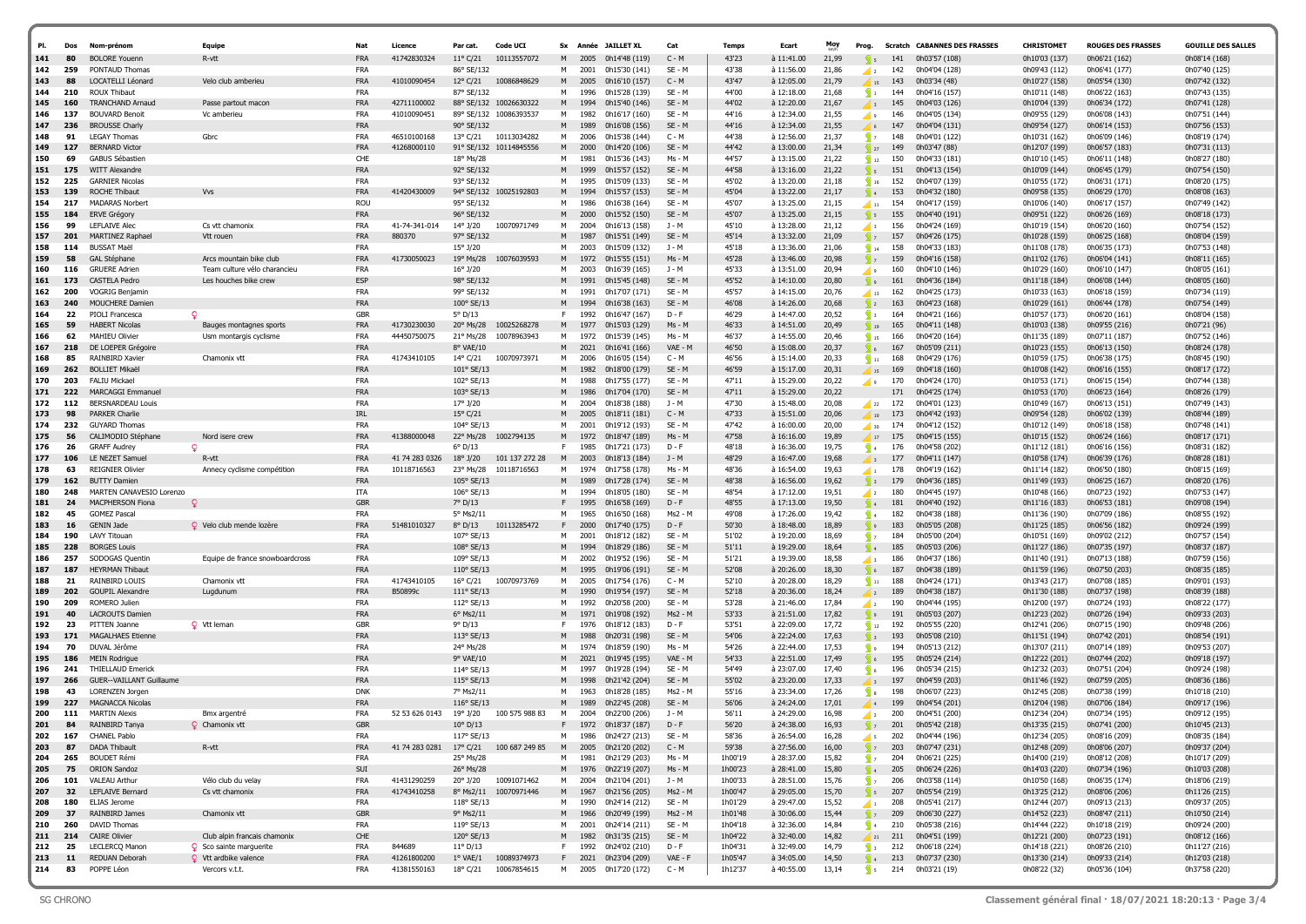| PI.        | Dos        | Nom-prénom                                       | Eauipe                                                | Nat                      | Licence                       | Par cat.                              | Code UCI                                 |         |              | Sx Année JAILLET XL                        | Cat                 | <b>Temps</b>       | Ecart                    | Moy            | Prog.                                  |            | <b>Scratch CABANNES DES FRASSES</b> | CHRISTOMET                     | <b>ROUGES DES FRASSES</b>      | <b>GOUILLE DES SALLES</b>      |
|------------|------------|--------------------------------------------------|-------------------------------------------------------|--------------------------|-------------------------------|---------------------------------------|------------------------------------------|---------|--------------|--------------------------------------------|---------------------|--------------------|--------------------------|----------------|----------------------------------------|------------|-------------------------------------|--------------------------------|--------------------------------|--------------------------------|
| 141<br>142 | 80<br>259  | <b>BOLORE Youenn</b><br>PONTAUD Thomas           | R-vtt                                                 | <b>FRA</b><br><b>FRA</b> | 41742830324                   | $11^{\circ}$ C/21<br>86° SE/132       | 10113557072                              | м       | 2005<br>2001 | 0h14'48 (119)<br>0h15'30 (141)             | $C - M$<br>SE - M   | 43'23<br>43'38     | à 11:41.00<br>à 11:56.00 | 21,99<br>21,86 |                                        | 142        | 0h03'57 (108)<br>0h04'04 (128)      | 0h10'03 (137)<br>0h09'43 (112) | 0h06'21 (162)<br>0h06'41 (177) | 0h08'14 (168)<br>0h07'40 (125) |
| 143        | 88         | LOCATELLI Léonard                                | Velo club amberieu                                    | <b>FRA</b>               | 41010090454                   |                                       | 12° C/21 10086848629                     | M       | 2005         | 0h16'10 (157)                              | $C - M$             | 43'47              | à 12:05.00               | 21,79          | $\sqrt{2}$<br>15                       | 143        | 0h03'34 (48)                        | 0h10'27 (158)                  | 0h05'54 (130)                  | 0h07'42 (132)                  |
| 144        | 210        | ROUX Thibaut                                     |                                                       | <b>FRA</b>               |                               | 87° SE/132                            |                                          | М       | 1996         | 0h15'28 (139)                              | SE - M              | 44'00              | à 12:18.00               | 21,68          | $\sqrt{1}$                             | 144        | 0h04'16 (157)                       | 0h10'11 (148)                  | 0h06'22 (163)                  | 0h07'43 (135)                  |
| 145        | 160        | <b>TRANCHAND Arnaud</b>                          | Passe partout macon                                   | <b>FRA</b>               | 42711100002                   | 88° SE/132                            | 10026630322                              | M       | 1994         | 0h15'40 (146)                              | $SE - M$            | 44'02              | à 12:20.00               | 21,67          | $\sqrt{3}$                             | 145        | 0h04'03 (126)                       | 0h10'04 (139)                  | 0h06'34 (172)                  | 0h07'41 (128)                  |
| 146        | 137        | <b>BOUVARD Benoit</b>                            | Vc amberieu                                           | <b>FRA</b>               | 41010090451                   |                                       | 89° SE/132 10086393537                   | M       | 1982         | 0h16'17 (160)                              | SE - M              | 44'16              | à 12:34.00               | 21,55          | ◢                                      | 146        | 0h04'05 (134)                       | 0h09'55 (129)                  | 0h06'08 (143)                  | 0h07'51 (144)                  |
| 147        | 236        | <b>BROUSSE Charly</b>                            |                                                       | <b>FRA</b>               |                               | 90° SE/132                            |                                          | M       | 1989         | 0h16'08 (156)                              | SE - M              | 44'16              | à 12:34.00               | 21,55          |                                        | 147        | 0h04'04 (131)                       | 0h09'54 (127)                  | 0h06'14 (153)                  | 0h07'56 (153)                  |
| 148<br>149 | 91<br>127  | <b>LEGAY Thomas</b><br><b>BERNARD Victor</b>     | Gbrc                                                  | <b>FRA</b><br><b>FRA</b> | 46510100168<br>41268000110    | 13° C/21                              | 10113034282<br>91° SE/132 10114845556    | м<br>M  | 2006<br>2000 | 0h15'38 (144)                              | C - M<br>$SE - M$   | 44'38<br>44'42     | à 12:56.00<br>à 13:00.00 | 21,37<br>21,34 | $\sum$ 7                               | 148<br>149 | 0h04'01 (122)<br>0h03'47 (88)       | 0h10'31 (162)                  | 0h06'09 (146)                  | 0h08'19 (174)                  |
| 150        | 69         | <b>GABUS Sébastier</b>                           |                                                       | CHE                      |                               | 18° Ms/28                             |                                          | м       | 1981         | 0h14'20 (106)<br>0h15'36 (143)             | Ms - M              | 44'57              | à 13:15.00               | 21,22          | $\frac{1}{27}$<br>$\frac{1}{2}$ 12     | 150        | 0h04'33 (181)                       | 0h12'07 (199)<br>0h10'10 (145) | 0h06'57 (183)<br>0h06'11 (148) | 0h07'31 (113)<br>0h08'27 (180) |
| 151        | 175        | <b>WITT Alexandre</b>                            |                                                       | <b>FRA</b>               |                               | 92° SE/132                            |                                          |         | 1999         | 0h15'57 (152)                              | SE - M              | 44'58              | à 13:16.00               | 21,22          | 5 <sup>5</sup>                         | 151        | 0h04'13 (154)                       | 0h10'09 (144)                  | 0h06'45 (179)                  | 0h07'54 (150)                  |
| 152        | 225        | <b>GARNIER Nicolas</b>                           |                                                       | <b>FRA</b>               |                               | 93° SE/132                            |                                          | М       | 1995         | 0h15'09 (133)                              | SE - M              | 45'02              | à 13:20.00               | 21,18          | $\sqrt{16}$                            | 152        | 0h04'07 (139)                       | 0h10'55 (172)                  | 0h06'31 (171)                  | 0h08'20 (175)                  |
| 153        | 139        | ROCHE Thibaut                                    | Vvs                                                   | <b>FRA</b>               | 41420430009                   |                                       | 94° SE/132 10025192803                   | M       | 1994         | 0h15'57 (153)                              | $SE - M$            | 45'04              | à 13:22.00               | 21,17          | $\frac{1}{2}$ 4                        | 153        | 0h04'32 (180)                       | 0h09'58 (135)                  | 0h06'29 (170)                  | 0h08'08 (163)                  |
| 154        | 217        | <b>MADARAS Norbert</b>                           |                                                       | <b>ROU</b>               |                               | 95° SE/132                            |                                          | M       | 1986         | 0h16'38 (164)                              | SE - M              | 45'07              | à 13:25.00               | 21,15          | $\blacksquare$ 11                      | 154        | 0h04'17 (159)                       | 0h10'06 (140)                  | 0h06'17 (157)                  | 0h07'49 (142)                  |
| 155<br>156 | 184<br>99  | <b>ERVE Grégory</b>                              | Cs vtt chamonix                                       | <b>FRA</b><br><b>FRA</b> | 41-74-341-014                 | 96° SE/132                            | 10070971749                              | M<br>м  | 2000<br>2004 | 0h15'52 (150)<br>0h16'13 (158)             | $SE - M$<br>J - M   | 45'07<br>45'10     | à 13:25.00<br>à 13:28.00 | 21,15<br>21,12 | $\sqrt{5}$                             | 155<br>156 | 0h04'40 (191)                       | 0h09'51 (122)<br>0h10'19 (154) | 0h06'26 (169)<br>0h06'20 (160) | 0h08'18 (173)                  |
| 157        | 201        | LEFLAIVE Alec<br>MARTINEZ Raphael                | Vtt rouen                                             | <b>FRA</b>               | 880370                        | 14° J/20<br>97° SE/132                |                                          | M       | 1987         | 0h15'51 (149)                              | SE - M              | 45'14              | à 13:32.00               | 21,09          | <b>⊿</b> 3<br>$\sqrt{2}$               | 157        | 0h04'24 (169)<br>0h04'26 (175)      | 0h10'28 (159)                  | 0h06'25 (168)                  | 0h07'54 (152)<br>0h08'04 (159) |
| 158        | 114        | <b>BUSSAT Maël</b>                               |                                                       | <b>FRA</b>               |                               | 15° J/20                              |                                          | M       | 2003         | 0h15'09 (132)                              | $J - M$             | 45'18              | à 13:36.00               | 21,06          | $\sqrt{14}$                            | 158        | 0h04'33 (183)                       | 0h11'08 (178)                  | 0h06'35 (173)                  | 0h07'53 (148)                  |
| 159        | 58         | <b>GAL Stéphane</b>                              | Arcs mountain bike club                               | <b>FRA</b>               | 41730050023                   | 19° Ms/28                             | 10076039593                              | M       | 1972         | 0h15'55 (151)                              | $Ms - M$            | 45'28              | à 13:46.00               | 20,98          | $\sqrt{2}$                             | 159        | 0h04'16 (158)                       | 0h11'02 (176)                  | 0h06'04 (141)                  | 0h08'11 (165)                  |
| 160        | 116        | <b>GRUERE Adrien</b>                             | Team culture vélo charancieu                          | <b>FRA</b>               |                               | 16° J/20                              |                                          | м       | 2003         | 0h16'39 (165)                              | J - M               | 45'33              | à 13:51.00               | 20,94          | ا و ا                                  | 160        | 0h04'10 (146)                       | 0h10'29 (160)                  | 0h06'10 (147)                  | 0h08'05 (161)                  |
| 161        | 173        | <b>CASTELA Pedro</b>                             | Les houches bike crew                                 | ESP                      |                               | 98° SE/132                            |                                          |         | 1991         | 0h15'45 (148)                              | SE - M              | 45'52              | à 14:10.00               | 20,80          | $\sqrt{9}$                             | 161        | 0h04'36 (184)                       | 0h11'18 (184)                  | 0h06'08 (144)                  | 0h08'05 (160)                  |
| 162        | 200        | <b>VOGRIG Benjamin</b>                           |                                                       | <b>FRA</b>               |                               | 99° SE/132                            |                                          | м       | 1991         | 0h17'07 (171)                              | SE - M              | 45'57              | à 14:15.00               | 20,76          | $\frac{1}{13}$                         | 162        | 0h04'25 (173)                       | 0h10'33 (163)                  | 0h06'18 (159)                  | 0h07'34 (119)                  |
| 163<br>164 | 240<br>22  | MOUCHERE Damien<br>PIOLI Francesca               | <b>Q</b>                                              | <b>FRA</b><br><b>GBR</b> |                               | $100^\circ$ SE/13<br>$5^{\circ}$ D/13 |                                          | M<br>F. | 1994<br>1992 | 0h16'38 (163)<br>0h16'47 (167)             | $SE - M$<br>D - F   | 46'08<br>46'29     | à 14:26.00<br>à 14:47.00 | 20,68<br>20,52 | $\frac{1}{2}$<br>$\sum$ 3              | 163<br>164 | 0h04'23 (168)<br>0h04'21 (166)      | 0h10'29 (161)<br>0h10'57 (173) | 0h06'44 (178)<br>0h06'20 (161) | 0h07'54 (149)<br>0h08'04 (158) |
| 165        | 59         | <b>HABERT Nicolas</b>                            | Bauges montagnes sports                               | <b>FRA</b>               | 41730230030                   | 20° Ms/28                             | 10025268278                              | M       | 1977         | 0h15'03 (129)                              | $Ms - M$            | 46'33              | à 14:51.00               | 20,49          |                                        | 165        | 0h04'11 (148)                       | 0h10'03 (138)                  | 0h09'55 (216)                  | 0h07'21 (96)                   |
| 166        | 62         | MAHIEU Olivier                                   | Usm montargis cyclisme                                | <b>FRA</b>               | 44450750075                   | 21° Ms/28                             | 10078963943                              | м       | 1972         | 0h15'39 (145)                              | Ms - M              | 46'37              | à 14:55.00               | 20,46          | $\sqrt{15}$                            | 166        | 0h04'20 (164)                       | 0h11'35 (189)                  | 0h07'11 (187)                  | 0h07'52 (146)                  |
| 167        | 218        | DE LOEPER Grégoire                               |                                                       | <b>FRA</b>               |                               | 8° VAE/10                             |                                          | M       | 2021         | 0h16'41 (166)                              | VAE - M             | 46'50              | à 15:08.00               | 20,37          | $\sqrt{6}$                             | 167        | 0h05'09 (211)                       | 0h10'23 (155)                  | 0h06'13 (150)                  | 0h08'24 (178)                  |
| 168        | 85         | RAINBIRD Xavier                                  | Chamonix vtt                                          | FRA                      | 41743410105                   | 14° C/21                              | 10070973971                              | м       | 2006         | 0h16'05 (154)                              | $C - M$             | 46'56              | à 15:14.00               | 20,33          | $\sqrt{11}$                            | 168        | 0h04'29 (176)                       | 0h10'59 (175)                  | 0h06'38 (175)                  | 0h08'45 (190)                  |
| 169        | 262        | <b>BOLLIET Mikaël</b>                            |                                                       | <b>FRA</b>               |                               | 101° SE/13                            |                                          | M       | 1982         | 0h18'00 (179)                              | $SE - M$            | 46'59              | à 15:17.00               | 20,31          | $\frac{15}{15}$                        | 169        | 0h04'18 (160)                       | 0h10'08 (142)                  | 0h06'16 (155)                  | 0h08'17 (172)                  |
| 170<br>171 | 203<br>222 | <b>FALIU Mickael</b><br><b>MARCAGGI Emmanuel</b> |                                                       | <b>FRA</b><br><b>FRA</b> |                               | 102° SE/13<br>103° SE/13              |                                          | M       | 1988<br>1986 | 0h17'55 (177)<br>0h17'04 (170)             | SE - M<br>$SE - M$  | 47'11<br>47'11     | à 15:29.00<br>à 15:29.00 | 20,22<br>20,22 | ◢                                      | 170<br>171 | 0h04'24 (170)<br>0h04'25 (174)      | 0h10'53 (171)<br>0h10'53 (170) | 0h06'15 (154)<br>0h06'23 (164) | 0h07'44 (138)<br>0h08'26 (179) |
| 172        | 112        | <b>BERSNARDEAU Louis</b>                         |                                                       | <b>FRA</b>               |                               | $17^{\circ}$ J/20                     |                                          | м       | 2004         | 0h18'38 (188)                              | J - M               | 47'30              | à 15:48.00               | 20,08          | $\frac{1}{22}$                         | 172        | 0h04'01 (123)                       | 0h10'49 (167)                  | 0h06'13 (151)                  | 0h07'49 (143)                  |
| 173        | 98         | PARKER Charlie                                   |                                                       | <b>IRL</b>               |                               | $15^{\circ}$ C/21                     |                                          | M       | 2005         | 0h18'11 (181)                              | $C - M$             | 47'33              | à 15:51.00               | 20,06          | 10                                     | 173        | 0h04'42 (193)                       | 0h09'54 (128)                  | 0h06'02 (139)                  | 0h08'44 (189)                  |
| 174        | 232        | <b>GUYARD Thomas</b>                             |                                                       | <b>FRA</b>               |                               | 104° SE/13                            |                                          | м       | 2001         | 0h19'12 (193)                              | SE - M              | 47'42              | à 16:00.00               | 20,00          | $\overline{\phantom{0}}$ 30            | 174        | 0h04'12 (152)                       | 0h10'12 (149)                  | 0h06'18 (158)                  | 0h07'48 (141)                  |
| 175        | 56         | CALIMODIO Stéphane                               | Nord isere crew                                       | <b>FRA</b>               | 41388000048                   | 22° Ms/28                             | 1002794135                               | M       | 1972         | 0h18'47 (189)                              | Ms - M              | 47'58              | à 16:16.00               | 19,89          | $\frac{1}{2}$                          | 175        | 0h04'15 (155)                       | 0h10'15 (152)                  | 0h06'24 (166)                  | 0h08'17 (171)                  |
| 176        | 26         | <b>GRAFF Audrey</b>                              | Q                                                     | <b>FRA</b>               |                               | $6^{\circ}$ D/13                      |                                          | F.      | 1985         | 0h17'21 (173)                              | $D - F$             | 48'18              | à 16:36.00               | 19,75          | $\sqrt{4}$                             | 176        | 0h04'58 (202)                       | 0h11'12 (181)                  | 0h06'16 (156)                  | 0h08'31 (182)                  |
| 177<br>178 | 106<br>63  | LE NEZET Samue<br><b>REIGNIER Olivier</b>        | R-vtt                                                 | <b>FRA</b><br><b>FRA</b> | 41 74 283 0326<br>10118716563 | $18^{\circ}$ J/20<br>23° Ms/28        | 101 137 272 28<br>10118716563            | M<br>M  | 2003<br>1974 | 0h18'13 (184)<br>0h17'58 (178)             | J - M<br>Ms - M     | 48'29<br>48'36     | à 16:47.00<br>à 16:54.00 | 19,68<br>19,63 | $\sqrt{3}$                             | 177<br>178 | 0h04'11 (147)<br>0h04'19 (162)      | 0h10'58 (174)                  | 0h06'39 (176)                  | 0h08'28 (181)                  |
| 179        | 162        | <b>BUTTY Damien</b>                              | Annecy cyclisme competition                           | <b>FRA</b>               |                               | 105° SE/13                            |                                          | M       | 1989         | 0h17'28 (174)                              | $SE - M$            | 48'38              | à 16:56.00               | 19,62          | $\blacksquare$<br>$\sqrt{3}$           | 179        | 0h04'36 (185)                       | 0h11'14 (182)<br>0h11'49 (193) | 0h06'50 (180)<br>0h06'25 (167) | 0h08'15 (169)<br>0h08'20 (176) |
| 180        | 248        | MARTEN CANAVESIO Lorenzo                         |                                                       | ITA                      |                               | $106°$ SE/13                          |                                          | M       | 1994         | 0h18'05 (180)                              | SE - M              | 48'54              | à 17:12.00               | 19,51          | $\sqrt{2}$                             | 180        | 0h04'45 (197)                       | 0h10'48 (166)                  | 0h07'23 (192)                  | 0h07'53 (147)                  |
| 181        | 24         | MACPHERSON Fiona                                 |                                                       | <b>GBR</b>               |                               | 7° D/13                               |                                          |         | 1995         | 0h16'58 (169)                              | $D - F$             | 48'55              | à 17:13.00               | 19,50          | $\sqrt{4}$                             | 181        | 0h04'40 (192)                       | 0h11'16 (183)                  | 0h06'53 (181)                  | 0h09'08 (194)                  |
| 182        | 45         | <b>GOMEZ Pascal</b>                              |                                                       | <b>FRA</b>               |                               | 5° Ms2/11                             |                                          | м       | 1965         | 0h16'50 (168)                              | Ms2 - M             | 49'08              | à 17:26.00               | 19,42          | $\sqrt{4}$                             | 182        | 0h04'38 (188)                       | 0h11'36 (190)                  | 0h07'09 (186)                  | 0h08'55 (192)                  |
| 183        | 16         | <b>GENIN Jade</b>                                | Q Velo club mende lozère                              | <b>FRA</b>               | 51481010327                   | $8^{\circ}$ D/13                      | 10113285472                              |         | 2000         | 0h17'40 (175)                              | $D - F$             | 50'30              | à 18:48.00               | 18,89          | $\sqrt{2}$                             | 183        | 0h05'05 (208)                       | 0h11'25 (185)                  | 0h06'56 (182)                  | 0h09'24 (199)                  |
| 184<br>185 | 190<br>228 | LAVY Titouan<br><b>BORGES Louis</b>              |                                                       | <b>FRA</b><br><b>FRA</b> |                               | 107° SE/13<br>108° SE/13              |                                          | м       | 2001<br>1994 | 0h18'12 (182)<br>0h18'29 (186)             | SE - M<br>$SE - M$  | 51'02<br>51'11     | à 19:20.00<br>à 19:29.00 | 18,69<br>18,64 | $\sqrt{2}$<br>$\sqrt{4}$               | 184<br>185 | 0h05'00 (204)<br>0h05'03 (206)      | 0h10'51 (169)<br>0h11'27 (186) | 0h09'02 (212)<br>0h07'35 (197) | 0h07'57 (154)<br>0h08'37 (187) |
| 186        | 257        | SODOGAS Quentin                                  | Equipe de france snowboardcross                       | <b>FRA</b>               |                               | 109° SE/13                            |                                          | м       | 2002         | 0h19'52 (196)                              | SE - M              | 51'21              | à 19:39.00               | 18,58          | <b>⊿</b> з                             | 186        | 0h04'37 (186)                       | 0h11'40 (191)                  | 0h07'13 (188)                  | 0h07'59 (156)                  |
| 187        | 187        | <b>HEYRMAN Thibaut</b>                           |                                                       | <b>FRA</b>               |                               | 110° SE/13                            |                                          | M       | 1995         | 0h19'06 (191)                              | SE - M              | 52'08              | à 20:26.00               | 18,30          | $\sqrt{6}$                             | 187        | 0h04'38 (189)                       | 0h11'59 (196)                  | 0h07'50 (203)                  | 0h08'35 (185)                  |
| 188        | 21         | RAINBIRD LOUIS                                   | Chamonix vt                                           | <b>FRA</b>               | 41743410105                   | $16^{\circ}$ C/21                     | 10070973769                              | M       | 2005         | 0h17'54 (176)                              | C - M               | 52'10              | à 20:28.00               | 18,29          | $\sum_{i=1}^{n}$                       | 188        | 0h04'24 (171)                       | 0h13'43 (217)                  | 0h07'08 (185)                  | 0h09'01 (193)                  |
| 189        | 202        | <b>GOUPIL Alexandre</b>                          | Lugdunum                                              | <b>FRA</b>               | B50899c                       | $111^{\circ}$ SE/13                   |                                          | M       | 1990         | 0h19'54 (197)                              | $SE - M$            | 52'18              | à 20:36.00               | 18,24          | $\sqrt{2}$                             | 189        | 0h04'38 (187)                       | 0h11'30 (188)                  | 0h07'37 (198)                  | 0h08'39 (188)                  |
| 190        | 209        | ROMERO Julien                                    |                                                       | <b>FRA</b>               |                               | 112° SE/13                            |                                          | м       | 1992         | 0h20'58 (200)                              | SE - M              | 53'28              | à 21:46.00               | 17,84          | $\sqrt{2}$                             | 190        | 0h04'44 (195)                       | 0h12'00 (197)                  | 0h07'24 (193)                  | 0h08'22 (177)                  |
| 191<br>192 | 40<br>23   | <b>LACROUTS Damien</b><br>PITTEN Joanne          | Q Vtt leman                                           | <b>FRA</b><br><b>GBR</b> |                               | 6° Ms2/11<br>9° D/13                  |                                          | M<br>F. | 1971<br>1976 | 0h19'08 (192)<br>0h18'12 (183)             | Ms2 - M<br>$D - F$  | 53'33<br>53'51     | à 21:51.00<br>à 22:09.00 | 17,82<br>17,72 | و <mark>ک</mark><br>$\sqrt{12}$        | 191<br>192 | 0h05'03 (207)<br>0h05'55 (220)      | 0h12'23 (202)<br>0h12'41 (206) | 0h07'26 (194)<br>0h07'15 (190) | 0h09'33 (203)<br>0h09'48 (206) |
| 193        | 171        | <b>MAGALHAES Etienne</b>                         |                                                       | <b>FRA</b>               |                               | 113° SE/13                            |                                          |         | 1988         | 0h20'31 (198)                              | $SE - M$            | 54'06              | à 22:24.00               | 17,63          | $\int$ 3                               | 193        | 0h05'08 (210)                       | 0h11'51 (194)                  | 0h07'42 (201)                  | 0h08'54 (191)                  |
| 194        | 70         | DUVAL Jérôme                                     |                                                       | FRA                      |                               | 24° Ms/28                             |                                          | м       | 1974         | 0h18'59 (190)                              | Ms - M              | 54'26              | à 22:44.00               | 17,53          | و ا∫                                   | 194        | 0h05'13 (212)                       | 0h13'07 (211)                  | 0h07'14 (189)                  | 0h09'53 (207)                  |
| 195        | 186        | <b>MEIN Rodrigue</b>                             |                                                       | <b>FRA</b>               |                               | 9° VAE/10                             |                                          | M       | 2021         | 0h19'45 (195)                              | VAE - M             | 54'33              | à 22:51.00               | 17,49          | $\overline{\phantom{a}}$ 6             | 195        | 0h05'24 (214)                       | 0h12'22 (201)                  | 0h07'44 (202)                  | 0h09'18 (197)                  |
| 196        | 241        | <b>THIELLAUD Emerick</b>                         |                                                       | <b>FRA</b>               |                               | 114° SE/13                            |                                          | M       | 1997         | 0h19'28 (194)                              | SE - M              | 54'49              | à 23:07.00               | 17,40          | $\overline{\phantom{a}}$ 6             | 196        | 0h05'34 (215)                       | 0h12'32 (203)                  | 0h07'51 (204)                  | 0h09'24 (198)                  |
| 197        | 266        | <b>GUER--VAILLANT Guillaume</b>                  |                                                       | <b>FRA</b>               |                               | 115° SE/13                            |                                          | м       | 1998         | 0h21'42 (204)                              | $SE - M$            | 55'02              | à 23:20.00               | 17,33          |                                        | 197        | 0h04'59 (203)                       | 0h11'46 (192)                  | 0h07'59 (205)                  | 0h08'36 (186)                  |
| 198<br>199 | 43<br>227  | LORENZEN Jorgen<br><b>MAGNACCA Nicolas</b>       |                                                       | <b>DNK</b><br><b>FRA</b> |                               | 7° Ms2/11<br>116° SE/13               |                                          | M       | 1963<br>1989 | 0h18'28 (185)<br>0h22'45 (208)             | Ms2 - M<br>$SE - M$ | 55'16<br>56'06     | à 23:34.00<br>à 24:24.00 | 17,26<br>17,01 | $\mathbf{s}$                           | 198<br>199 | 0h06'07 (223)<br>0h04'54 (201)      | 0h12'45 (208)<br>0h12'04 (198) | 0h07'38 (199)<br>0h07'06 (184) | 0h10'18 (210)<br>0h09'17 (196) |
| 200        | 111        | <b>MARTIN Alexis</b>                             | Bmx argentré                                          | FRA                      | 52 53 626 0143 19° J/20       |                                       | 100 575 988 83                           | м       | 2004         | 0h22'00 (206)                              | 1 - M               | 56'11              | à 24:29.00               | 16.98          | $\sqrt{2}$                             | 200        | 0h04'51 (200)                       | 0h12'34 (204)                  | 0h07'34 (195)                  | 0h09'12 (195)                  |
| 201        |            | RAINBIRD Tanya                                   | O Chamonix vt                                         | GBF                      |                               | 10° D/13                              |                                          | F.      | 1972         | 0h18'37 (187)                              | $D - F$             | 56'20              | $\lambda$ 24:38.00       | 16.93          |                                        | 201        | 0h05'42 (218)                       | 0h13'35 (215)                  | 0h07'41 (200)                  | 0h10'45 (213)                  |
| 202        | 167        | <b>CHANEL Pablo</b>                              |                                                       | <b>FRA</b>               |                               | 117° SE/13                            |                                          | M       |              | 1986 0h24'27 (213)                         | SE - M              | 58'36              | à 26:54.00               | 16,28          |                                        |            | $\frac{1}{5}$ 202 0h04'44 (196)     | 0h12'34 (205)                  | 0h08'16 (209)                  | 0h08'35 (184)                  |
| 203        | 87         | DADA Thibault                                    | R-vtt                                                 | <b>FRA</b>               |                               |                                       | 41 74 283 0281  17° C/21  100 687 249 85 | M       |              | 2005 0h21'20 (202)                         | $C - M$             | 59'38              | à 27:56.00               | 16,00          | $\sqrt{7}$                             | 203        | 0h07'47 (231)                       | 0h12'48 (209)                  | 0h08'06 (207)                  | 0h09'37 (204)                  |
| 204<br>205 | 265<br>75  | <b>BOUDET Rémi</b>                               |                                                       | FRA                      |                               | 25° Ms/28                             |                                          | М       | 1981         | 0h21'29 (203)                              | Ms - M              | 1h00'19            | à 28:37.00               | 15,82          | $\sqrt{2}$                             | 204        | 0h06'21 (225)                       | 0h14'00 (219)                  | 0h08'12 (208)                  | 0h10'17 (209)                  |
| 206        | 101        | <b>ORION Sandoz</b><br><b>VALEAU Arthur</b>      | Vélo club du velay                                    | SUI<br><b>FRA</b>        | 41431290259                   | 26° Ms/28<br>20° J/20                 | 10091071462                              | M<br>M  |              | 1976 0h22'19 (207)<br>2004 0h21'04 (201)   | Ms - M<br>J - M     | 1h00'23<br>1h00'33 | à 28:41.00<br>à 28:51.00 | 15,80<br>15,76 | $\sqrt{4}$<br>$\sqrt{7}$               | 206        | 205 0h06'24 (226)<br>0h03'58 (114)  | 0h14'03 (220)<br>0h10'50 (168) | 0h07'34 (196)<br>0h06'35 (174) | 0h10'03 (208)<br>0h18'06 (219) |
| 207        | 32         | LEFLAIVE Bernard                                 | Cs vtt chamonix                                       | <b>FRA</b>               | 41743410258                   |                                       | 8° Ms2/11 10070971446                    | M       |              | 1967 0h21'56 (205)                         | Ms2 - M             | 1h00'47            | à 29:05.00               | 15,70          | $\sqrt{s}$                             | 207        | 0h05'54 (219)                       | 0h13'25 (212)                  | 0h08'06 (206)                  | 0h11'26 (215)                  |
| 208        | 180        | ELIAS Jerome                                     |                                                       | <b>FRA</b>               |                               | 118° SE/13                            |                                          | м       |              | 1990 0h24'14 (212)                         | SE - M              | 1h01'29            | à 29:47.00               | 15,52          | $\sqrt{1}$                             | 208        | 0h05'41 (217)                       | 0h12'44 (207)                  | 0h09'13 (213)                  | 0h09'37 (205)                  |
| 209        | 37         | RAINBIRD James                                   | Chamonix vtt                                          | GBR                      |                               | 9° Ms2/11                             |                                          | M       |              | 1966 0h20'49 (199)                         | Ms2 - M             | 1h01'48            | à 30:06.00               | 15,44          | $\sqrt{2}$                             | 209        | 0h06'30 (227)                       | 0h14'52 (223)                  | 0h08'47 (211)                  | 0h10'50 (214)                  |
| 210        | 260        | DAVID Thomas                                     |                                                       | FRA                      |                               | 119° SE/13                            |                                          | M       |              | 2001 0h24'14 (211)                         | SE - M              | 1h04'18            | à 32:36.00               | 14,84          |                                        |            | $\frac{1}{2}$ 4 210 0h05'38 (216)   | 0h14'44 (222)                  | 0h10'18 (219)                  | 0h09'24 (200)                  |
| 211        | 214        | <b>CAIRE Olivier</b>                             | Club alpin francais chamonix                          | CHE                      |                               | 120° SE/13                            |                                          | M       |              | 1982 0h31'35 (215)                         | SE - M              | 1h04'22            | à 32:40.00               | 14,82          |                                        |            | $\frac{1}{21}$ 211 0h04'51 (199)    | 0h12'21 (200)                  | 0h07'23 (191)                  | 0h08'12 (166)                  |
| 212<br>213 | 25<br>11   | LECLERCQ Manon<br>REDUAN Deborah                 | Sco sainte marguerite<br><b>Q</b> Vtt ardbike valence | FRA<br><b>FRA</b>        | 844689<br>41261800200         | $11^{\circ}$ D/13                     | 1° VAE/1 10089374973                     | F.      |              | 1992 0h24'02 (210)<br>F 2021 0h23'04 (209) | D - F<br>VAE - F    | 1h04'31<br>1h05'47 | à 32:49.00<br>à 34:05.00 | 14,79<br>14,50 | $\overline{\phantom{a}}$ 3<br>$\sum$ 4 | 212        | 0h06'18 (224)<br>213 0h07'37 (230)  | 0h14'18 (221)<br>0h13'30 (214) | 0h08'26 (210)<br>0h09'33 (214) | 0h11'27 (216)<br>0h12'03 (218) |
| 214        | 83         | POPPE Léon                                       | Vercors v.t.t.                                        | FRA                      | 41381550163                   | 18° C/21                              | 10067854615                              |         |              | M 2005 0h17'20 (172)                       | C - M               | 1h12'37            | à 40:55.00               | 13,14          |                                        |            | $\sqrt{s}$ 214 0h03'21 (19)         | 0h08'22 (32)                   | 0h05'36 (104)                  | 0h37'58 (220)                  |
|            |            |                                                  |                                                       |                          |                               |                                       |                                          |         |              |                                            |                     |                    |                          |                |                                        |            |                                     |                                |                                |                                |